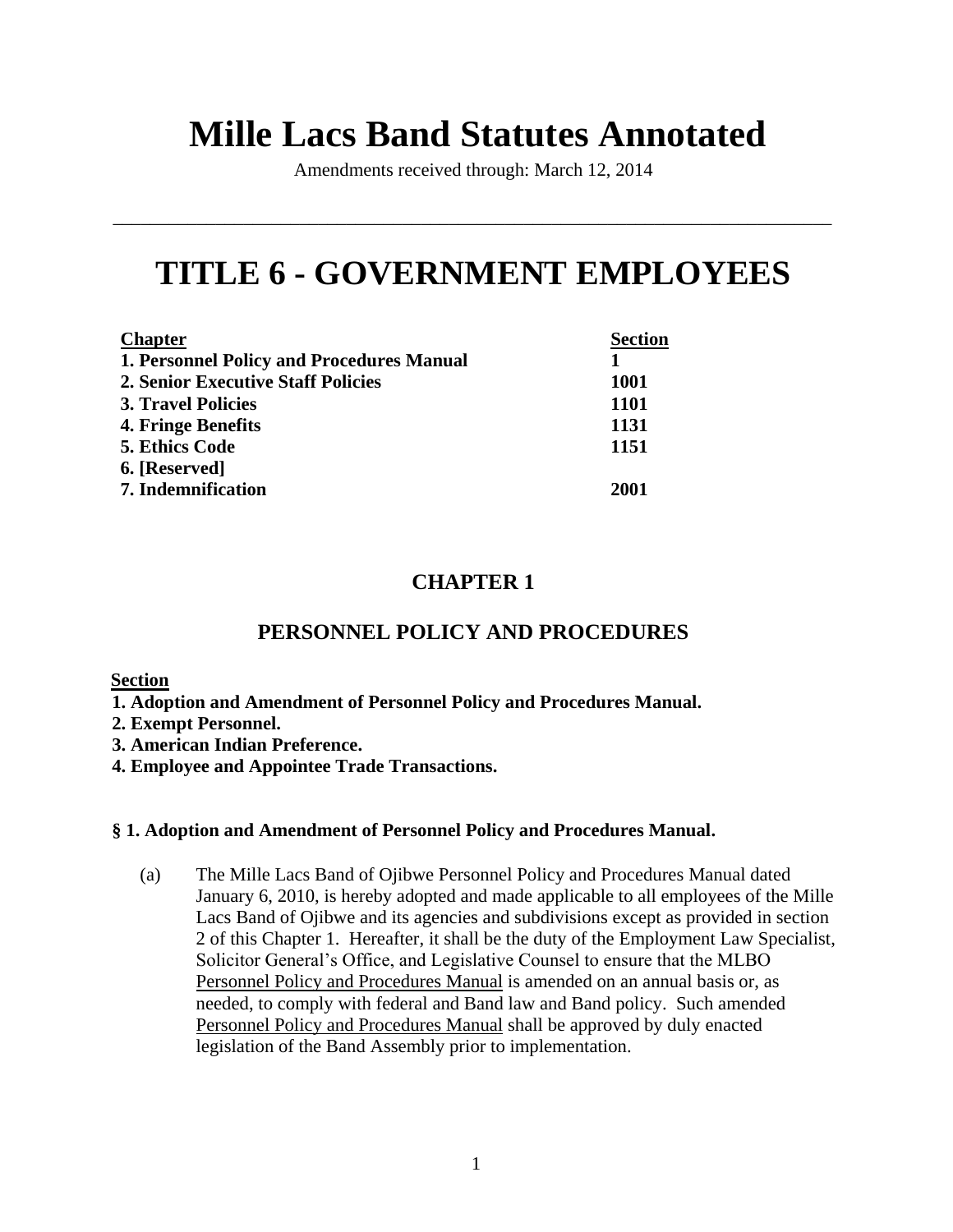# **Mille Lacs Band Statutes Annotated**

Amendments received through: March 12, 2014

\_\_\_\_\_\_\_\_\_\_\_\_\_\_\_\_\_\_\_\_\_\_\_\_\_\_\_\_\_\_\_\_\_\_\_\_\_\_\_\_\_\_\_\_\_\_\_\_\_\_\_\_\_\_\_\_\_\_\_\_\_\_\_\_\_\_\_\_\_\_\_\_\_\_\_\_\_

# **TITLE 6 - GOVERNMENT EMPLOYEES**

| <b>Chapter</b>                                   | <b>Section</b> |
|--------------------------------------------------|----------------|
| <b>1. Personnel Policy and Procedures Manual</b> |                |
| <b>2. Senior Executive Staff Policies</b>        | <b>1001</b>    |
| <b>3. Travel Policies</b>                        | <b>1101</b>    |
| 4. Fringe Benefits                               | 1131           |
| <b>5. Ethics Code</b>                            | 1151           |
| 6. [Reserved]                                    |                |
| <b>7.</b> Indemnification                        | 2001           |

# **CHAPTER 1**

# **PERSONNEL POLICY AND PROCEDURES**

# **Section**

- **1. Adoption and Amendment of Personnel Policy and Procedures Manual.**
- **2. Exempt Personnel.**
- **3. American Indian Preference.**
- **4. Employee and Appointee Trade Transactions.**

# **§ 1. Adoption and Amendment of Personnel Policy and Procedures Manual.**

(a) The Mille Lacs Band of Ojibwe Personnel Policy and Procedures Manual dated January 6, 2010, is hereby adopted and made applicable to all employees of the Mille Lacs Band of Ojibwe and its agencies and subdivisions except as provided in section 2 of this Chapter 1. Hereafter, it shall be the duty of the Employment Law Specialist, Solicitor General's Office, and Legislative Counsel to ensure that the MLBO Personnel Policy and Procedures Manual is amended on an annual basis or, as needed, to comply with federal and Band law and Band policy. Such amended Personnel Policy and Procedures Manual shall be approved by duly enacted legislation of the Band Assembly prior to implementation.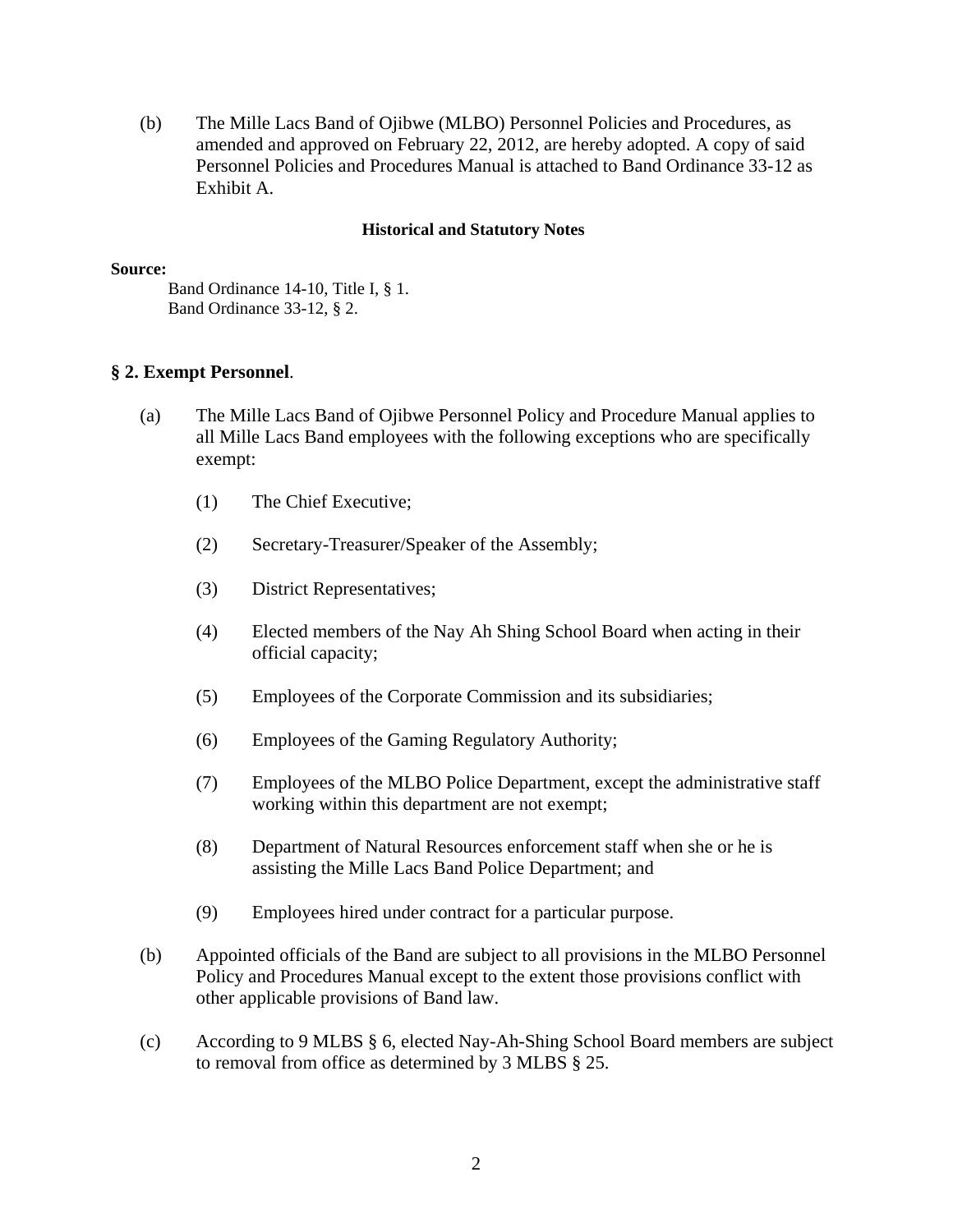(b) The Mille Lacs Band of Ojibwe (MLBO) Personnel Policies and Procedures, as amended and approved on February 22, 2012, are hereby adopted. A copy of said Personnel Policies and Procedures Manual is attached to Band Ordinance 33-12 as Exhibit A.

## **Historical and Statutory Notes**

#### **Source:**

Band Ordinance 14-10, Title I, § 1. Band Ordinance 33-12, § 2.

# **§ 2. Exempt Personnel**.

- (a) The Mille Lacs Band of Ojibwe Personnel Policy and Procedure Manual applies to all Mille Lacs Band employees with the following exceptions who are specifically exempt:
	- (1) The Chief Executive;
	- (2) Secretary-Treasurer/Speaker of the Assembly;
	- (3) District Representatives;
	- (4) Elected members of the Nay Ah Shing School Board when acting in their official capacity;
	- (5) Employees of the Corporate Commission and its subsidiaries;
	- (6) Employees of the Gaming Regulatory Authority;
	- (7) Employees of the MLBO Police Department, except the administrative staff working within this department are not exempt;
	- (8) Department of Natural Resources enforcement staff when she or he is assisting the Mille Lacs Band Police Department; and
	- (9) Employees hired under contract for a particular purpose.
- (b) Appointed officials of the Band are subject to all provisions in the MLBO Personnel Policy and Procedures Manual except to the extent those provisions conflict with other applicable provisions of Band law.
- (c) According to 9 MLBS § 6, elected Nay-Ah-Shing School Board members are subject to removal from office as determined by 3 MLBS § 25.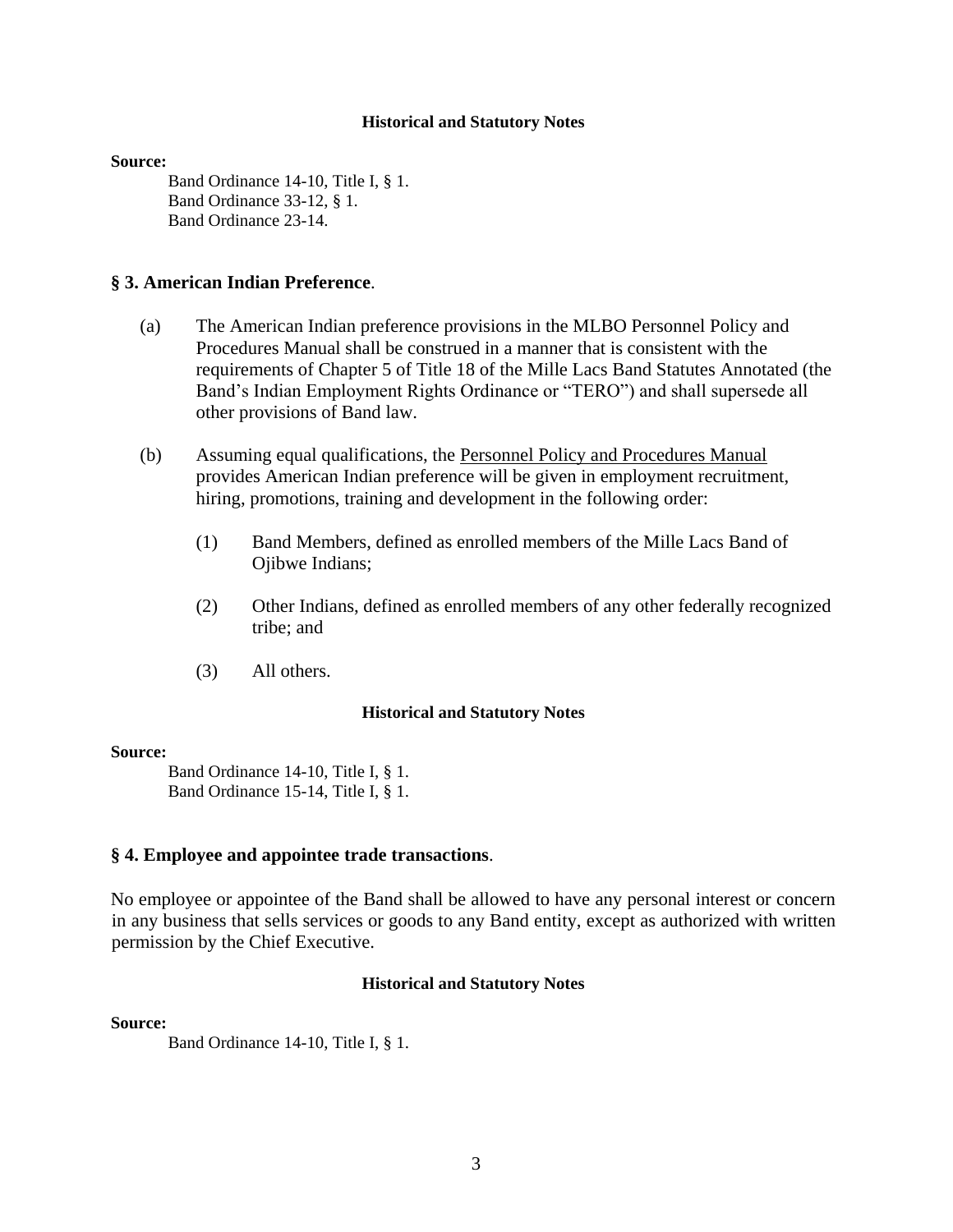#### **Source:**

Band Ordinance 14-10, Title I, § 1. Band Ordinance 33-12, § 1. Band Ordinance 23-14.

# **§ 3. American Indian Preference**.

- (a) The American Indian preference provisions in the MLBO Personnel Policy and Procedures Manual shall be construed in a manner that is consistent with the requirements of Chapter 5 of Title 18 of the Mille Lacs Band Statutes Annotated (the Band's Indian Employment Rights Ordinance or "TERO") and shall supersede all other provisions of Band law.
- (b) Assuming equal qualifications, the Personnel Policy and Procedures Manual provides American Indian preference will be given in employment recruitment, hiring, promotions, training and development in the following order:
	- (1) Band Members, defined as enrolled members of the Mille Lacs Band of Ojibwe Indians;
	- (2) Other Indians, defined as enrolled members of any other federally recognized tribe; and
	- (3) All others.

#### **Historical and Statutory Notes**

#### **Source:**

Band Ordinance 14-10, Title I, § 1. Band Ordinance 15-14, Title I, § 1.

#### **§ 4. Employee and appointee trade transactions**.

No employee or appointee of the Band shall be allowed to have any personal interest or concern in any business that sells services or goods to any Band entity, except as authorized with written permission by the Chief Executive.

#### **Historical and Statutory Notes**

#### **Source:**

Band Ordinance 14-10, Title I, § 1.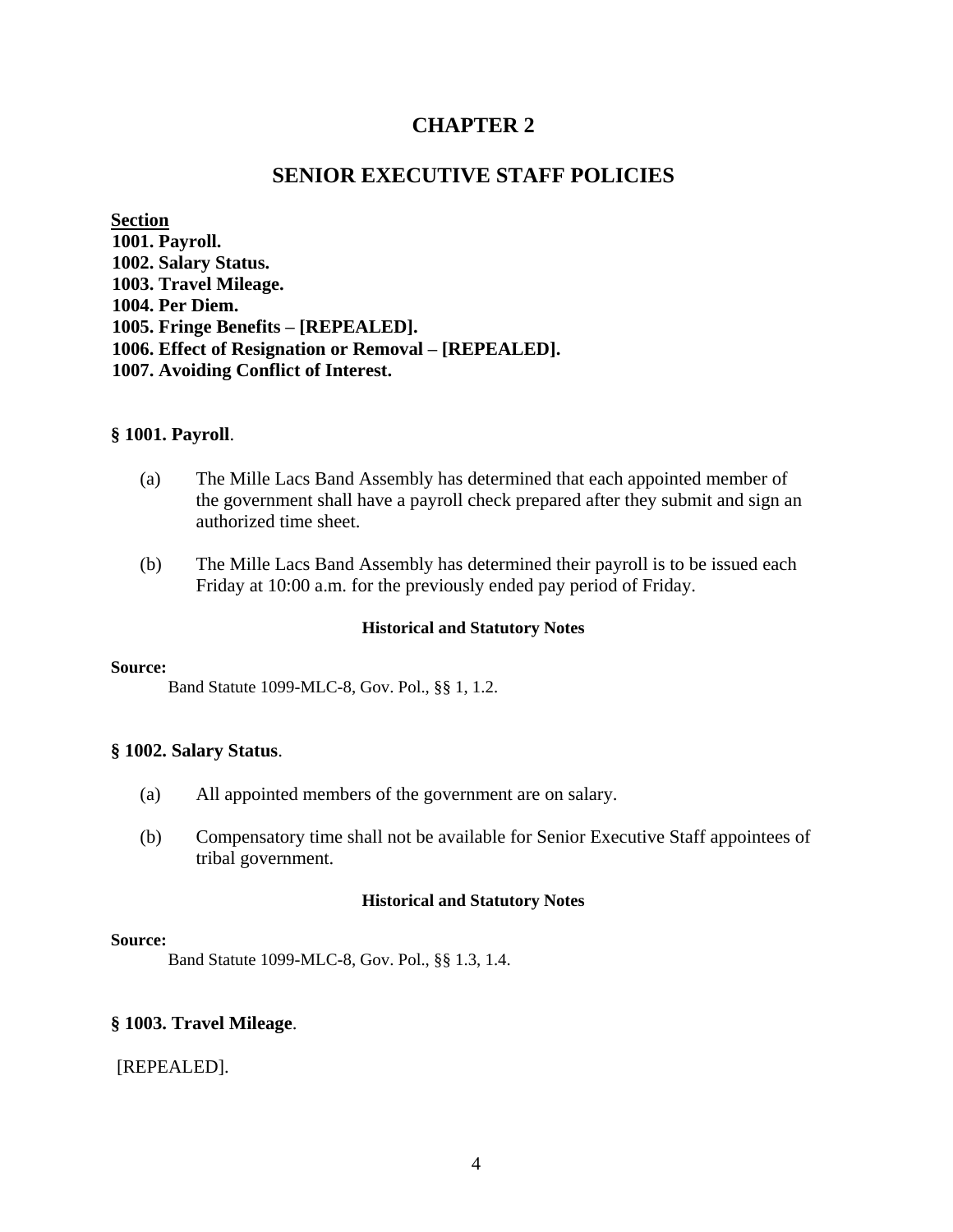# **CHAPTER 2**

# **SENIOR EXECUTIVE STAFF POLICIES**

**Section 1001. Payroll. 1002. Salary Status. 1003. Travel Mileage. 1004. Per Diem. 1005. Fringe Benefits – [REPEALED]. 1006. Effect of Resignation or Removal – [REPEALED]. 1007. Avoiding Conflict of Interest.** 

#### **§ 1001. Payroll**.

- (a) The Mille Lacs Band Assembly has determined that each appointed member of the government shall have a payroll check prepared after they submit and sign an authorized time sheet.
- (b) The Mille Lacs Band Assembly has determined their payroll is to be issued each Friday at 10:00 a.m. for the previously ended pay period of Friday.

#### **Historical and Statutory Notes**

#### **Source:**

Band Statute 1099-MLC-8, Gov. Pol., §§ 1, 1.2.

#### **§ 1002. Salary Status**.

- (a) All appointed members of the government are on salary.
- (b) Compensatory time shall not be available for Senior Executive Staff appointees of tribal government.

#### **Historical and Statutory Notes**

#### **Source:**

Band Statute 1099-MLC-8, Gov. Pol., §§ 1.3, 1.4.

#### **§ 1003. Travel Mileage**.

[REPEALED].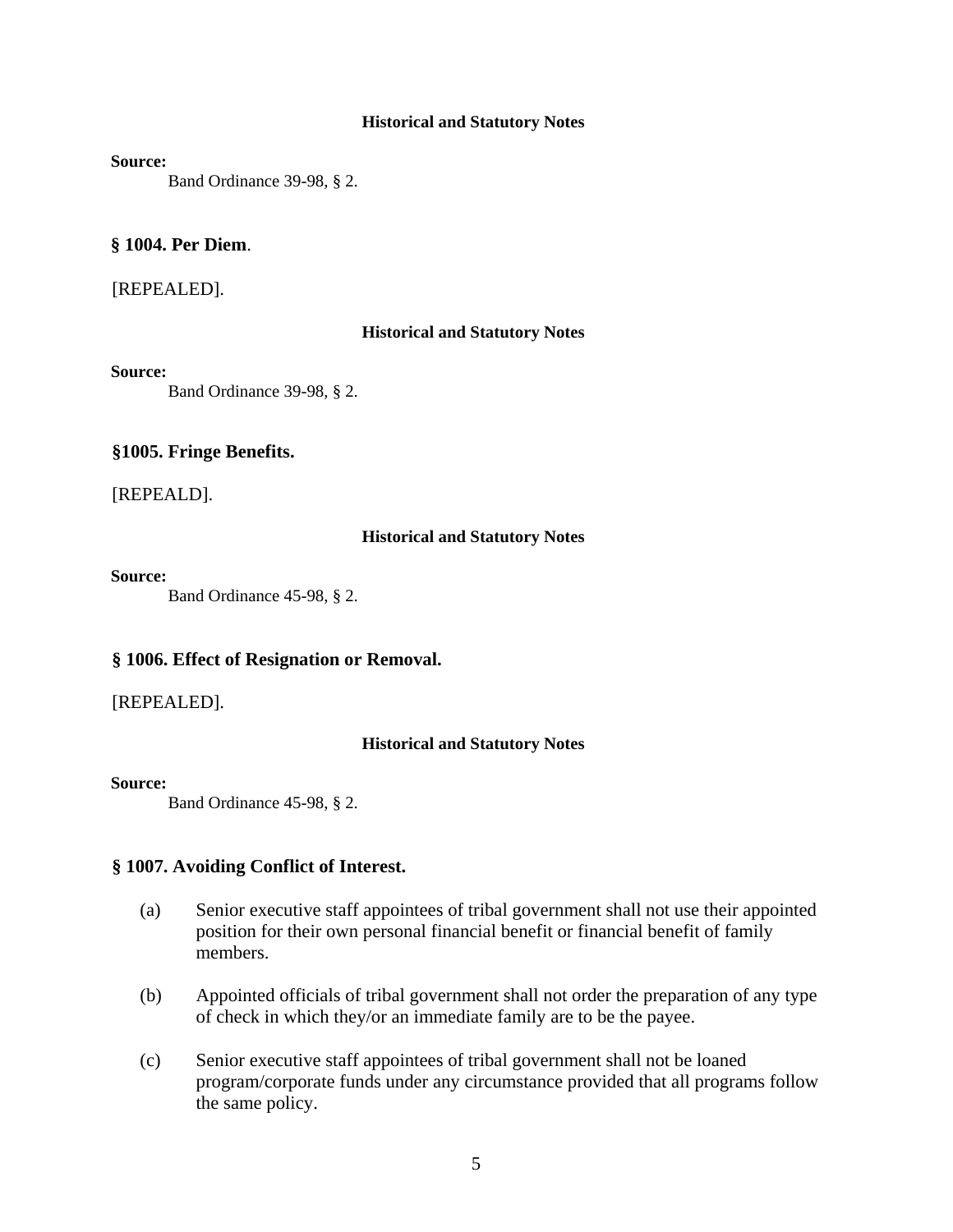#### **Source:**

Band Ordinance 39-98, § 2.

#### **§ 1004. Per Diem**.

#### [REPEALED].

#### **Historical and Statutory Notes**

#### **Source:**

Band Ordinance 39-98, § 2.

#### **§1005. Fringe Benefits.**

[REPEALD].

#### **Historical and Statutory Notes**

#### **Source:**

Band Ordinance 45-98, § 2.

#### **§ 1006. Effect of Resignation or Removal.**

[REPEALED].

#### **Historical and Statutory Notes**

#### **Source:**

Band Ordinance 45-98, § 2.

#### **§ 1007. Avoiding Conflict of Interest.**

- (a) Senior executive staff appointees of tribal government shall not use their appointed position for their own personal financial benefit or financial benefit of family members.
- (b) Appointed officials of tribal government shall not order the preparation of any type of check in which they/or an immediate family are to be the payee.
- (c) Senior executive staff appointees of tribal government shall not be loaned program/corporate funds under any circumstance provided that all programs follow the same policy.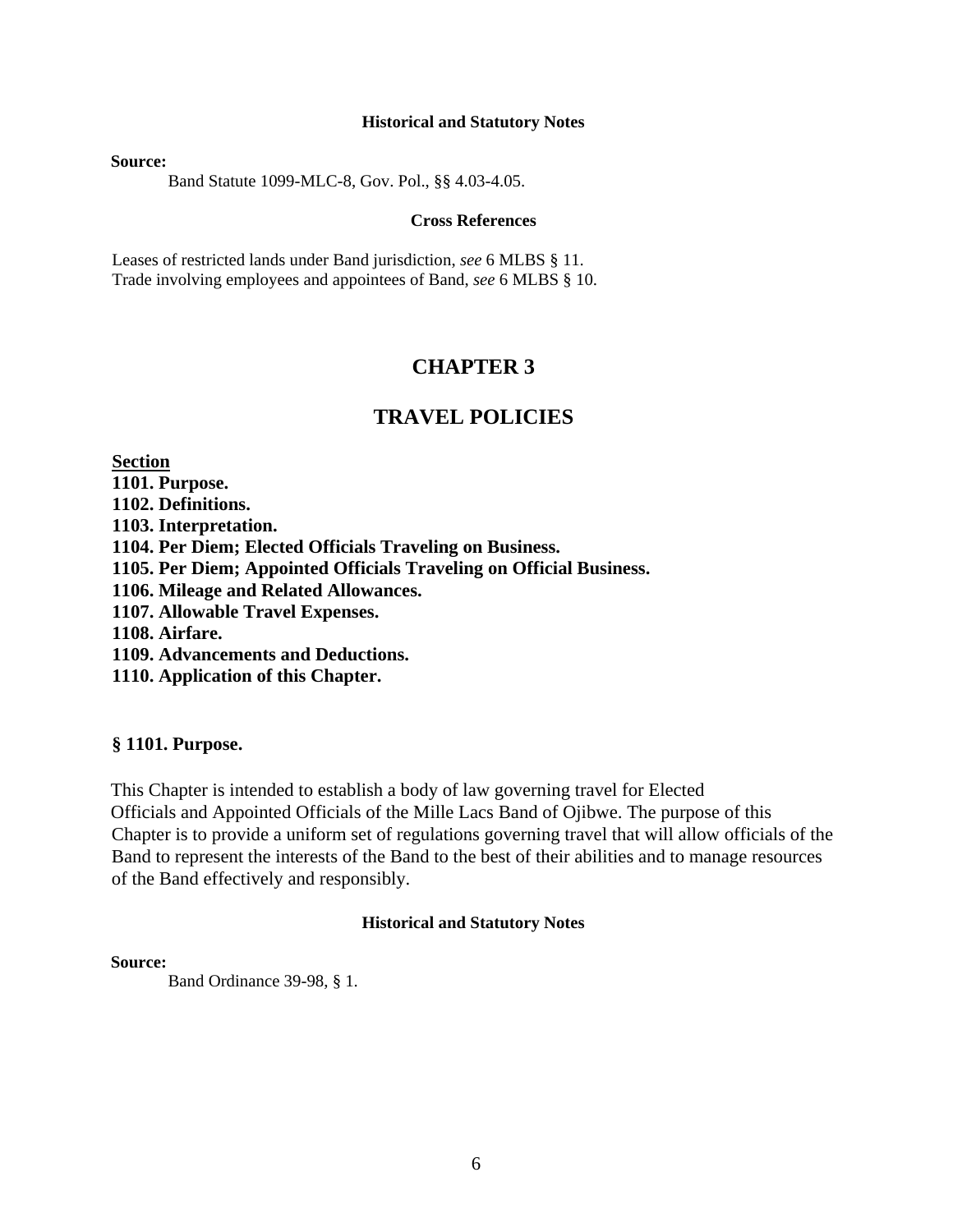**Source:**

Band Statute 1099-MLC-8, Gov. Pol., §§ 4.03-4.05.

#### **Cross References**

Leases of restricted lands under Band jurisdiction, *see* 6 MLBS § 11. Trade involving employees and appointees of Band, *see* 6 MLBS § 10.

# **CHAPTER 3**

# **TRAVEL POLICIES**

**Section 1101. Purpose. 1102. Definitions. 1103. Interpretation. 1104. Per Diem; Elected Officials Traveling on Business. 1105. Per Diem; Appointed Officials Traveling on Official Business. 1106. Mileage and Related Allowances. 1107. Allowable Travel Expenses. 1108. Airfare. 1109. Advancements and Deductions. 1110. Application of this Chapter.**

#### **§ 1101. Purpose.**

This Chapter is intended to establish a body of law governing travel for Elected Officials and Appointed Officials of the Mille Lacs Band of Ojibwe. The purpose of this Chapter is to provide a uniform set of regulations governing travel that will allow officials of the Band to represent the interests of the Band to the best of their abilities and to manage resources of the Band effectively and responsibly.

#### **Historical and Statutory Notes**

#### **Source:**

Band Ordinance 39-98, § 1.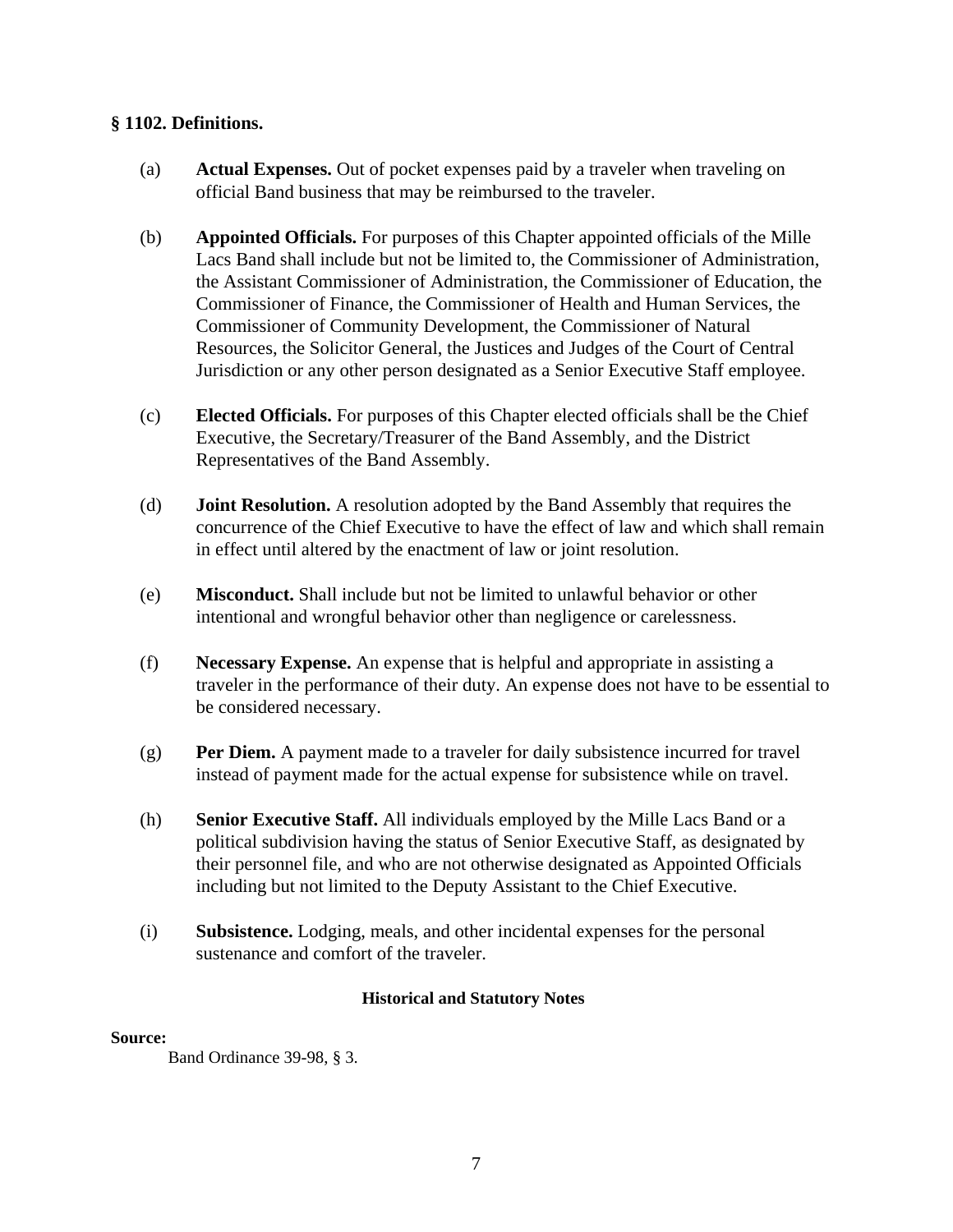# **§ 1102. Definitions.**

- (a) **Actual Expenses.** Out of pocket expenses paid by a traveler when traveling on official Band business that may be reimbursed to the traveler.
- (b) **Appointed Officials.** For purposes of this Chapter appointed officials of the Mille Lacs Band shall include but not be limited to, the Commissioner of Administration, the Assistant Commissioner of Administration, the Commissioner of Education, the Commissioner of Finance, the Commissioner of Health and Human Services, the Commissioner of Community Development, the Commissioner of Natural Resources, the Solicitor General, the Justices and Judges of the Court of Central Jurisdiction or any other person designated as a Senior Executive Staff employee.
- (c) **Elected Officials.** For purposes of this Chapter elected officials shall be the Chief Executive, the Secretary/Treasurer of the Band Assembly, and the District Representatives of the Band Assembly.
- (d) **Joint Resolution.** A resolution adopted by the Band Assembly that requires the concurrence of the Chief Executive to have the effect of law and which shall remain in effect until altered by the enactment of law or joint resolution.
- (e) **Misconduct.** Shall include but not be limited to unlawful behavior or other intentional and wrongful behavior other than negligence or carelessness.
- (f) **Necessary Expense.** An expense that is helpful and appropriate in assisting a traveler in the performance of their duty. An expense does not have to be essential to be considered necessary.
- (g) **Per Diem.** A payment made to a traveler for daily subsistence incurred for travel instead of payment made for the actual expense for subsistence while on travel.
- (h) **Senior Executive Staff.** All individuals employed by the Mille Lacs Band or a political subdivision having the status of Senior Executive Staff, as designated by their personnel file, and who are not otherwise designated as Appointed Officials including but not limited to the Deputy Assistant to the Chief Executive.
- (i) **Subsistence.** Lodging, meals, and other incidental expenses for the personal sustenance and comfort of the traveler.

# **Historical and Statutory Notes**

#### **Source:**

Band Ordinance 39-98, § 3.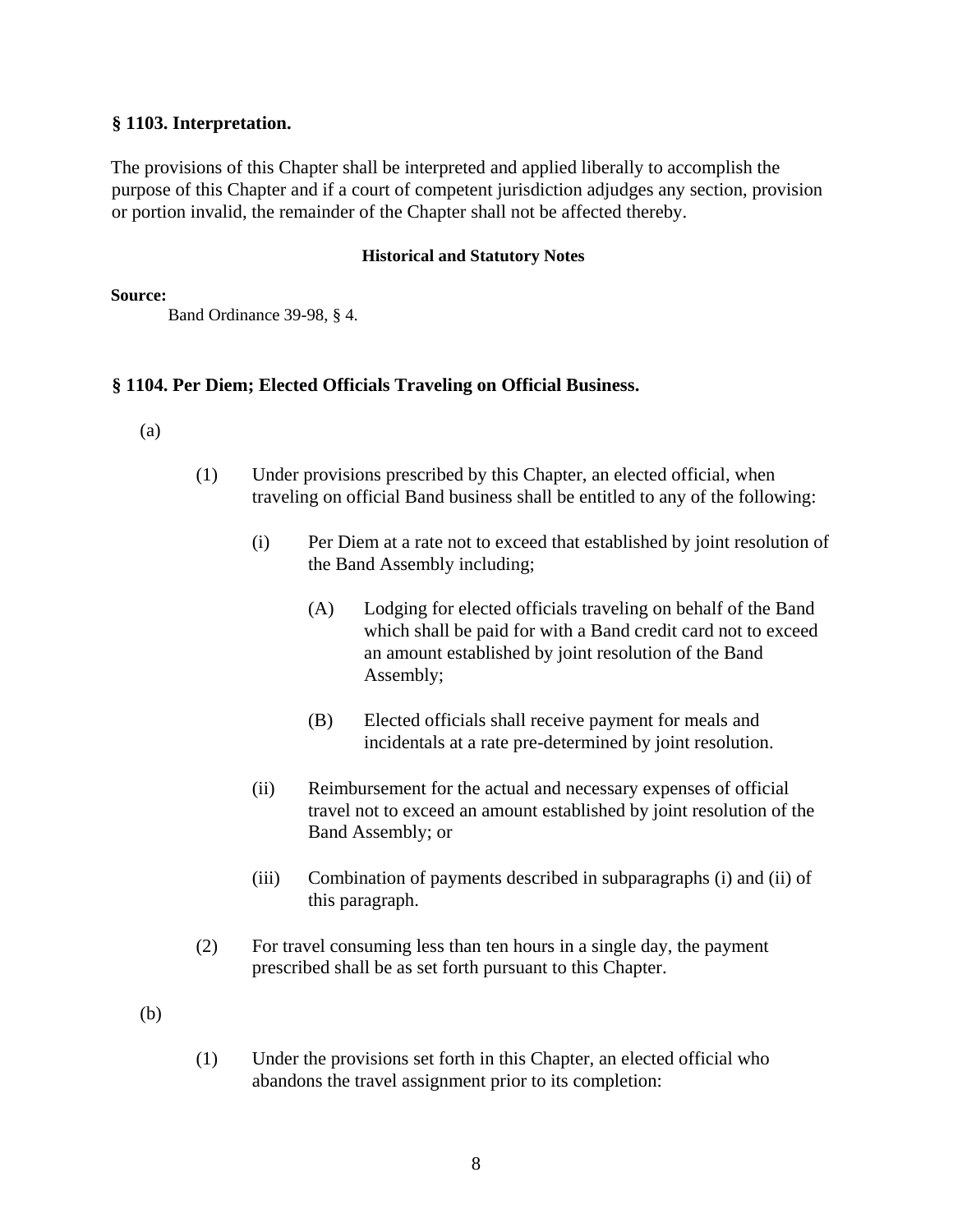# **§ 1103. Interpretation.**

The provisions of this Chapter shall be interpreted and applied liberally to accomplish the purpose of this Chapter and if a court of competent jurisdiction adjudges any section, provision or portion invalid, the remainder of the Chapter shall not be affected thereby.

#### **Historical and Statutory Notes**

**Source:**

Band Ordinance 39-98, § 4.

# **§ 1104. Per Diem; Elected Officials Traveling on Official Business.**

(a)

- (1) Under provisions prescribed by this Chapter, an elected official, when traveling on official Band business shall be entitled to any of the following:
	- (i) Per Diem at a rate not to exceed that established by joint resolution of the Band Assembly including;
		- (A) Lodging for elected officials traveling on behalf of the Band which shall be paid for with a Band credit card not to exceed an amount established by joint resolution of the Band Assembly;
		- (B) Elected officials shall receive payment for meals and incidentals at a rate pre-determined by joint resolution.
	- (ii) Reimbursement for the actual and necessary expenses of official travel not to exceed an amount established by joint resolution of the Band Assembly; or
	- (iii) Combination of payments described in subparagraphs (i) and (ii) of this paragraph.
- (2) For travel consuming less than ten hours in a single day, the payment prescribed shall be as set forth pursuant to this Chapter.

(b)

(1) Under the provisions set forth in this Chapter, an elected official who abandons the travel assignment prior to its completion: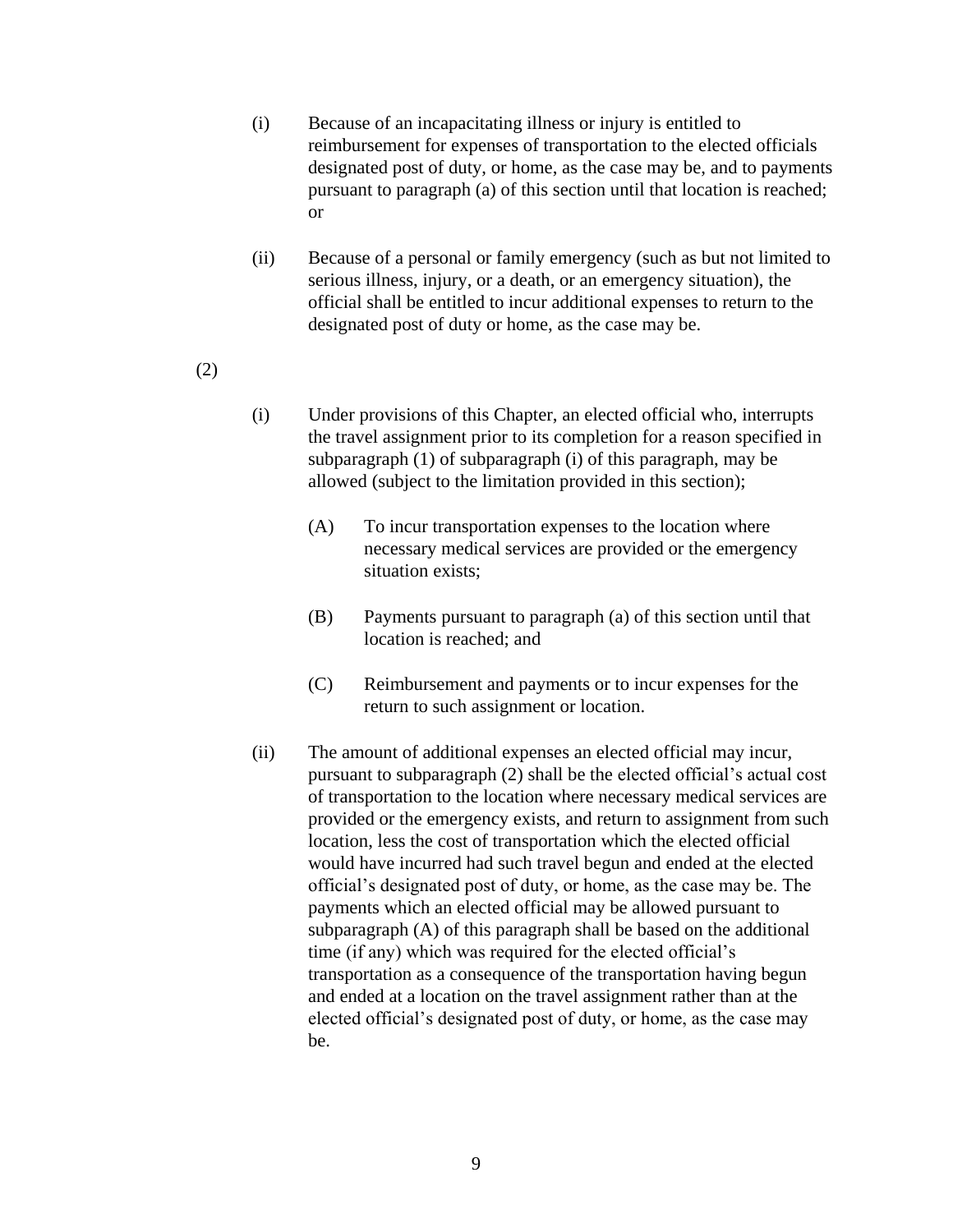- (i) Because of an incapacitating illness or injury is entitled to reimbursement for expenses of transportation to the elected officials designated post of duty, or home, as the case may be, and to payments pursuant to paragraph (a) of this section until that location is reached; or
- (ii) Because of a personal or family emergency (such as but not limited to serious illness, injury, or a death, or an emergency situation), the official shall be entitled to incur additional expenses to return to the designated post of duty or home, as the case may be.
- (2)
- (i) Under provisions of this Chapter, an elected official who, interrupts the travel assignment prior to its completion for a reason specified in subparagraph (1) of subparagraph (i) of this paragraph, may be allowed (subject to the limitation provided in this section);
	- (A) To incur transportation expenses to the location where necessary medical services are provided or the emergency situation exists;
	- (B) Payments pursuant to paragraph (a) of this section until that location is reached; and
	- (C) Reimbursement and payments or to incur expenses for the return to such assignment or location.
- (ii) The amount of additional expenses an elected official may incur, pursuant to subparagraph (2) shall be the elected official's actual cost of transportation to the location where necessary medical services are provided or the emergency exists, and return to assignment from such location, less the cost of transportation which the elected official would have incurred had such travel begun and ended at the elected official's designated post of duty, or home, as the case may be. The payments which an elected official may be allowed pursuant to subparagraph (A) of this paragraph shall be based on the additional time (if any) which was required for the elected official's transportation as a consequence of the transportation having begun and ended at a location on the travel assignment rather than at the elected official's designated post of duty, or home, as the case may be.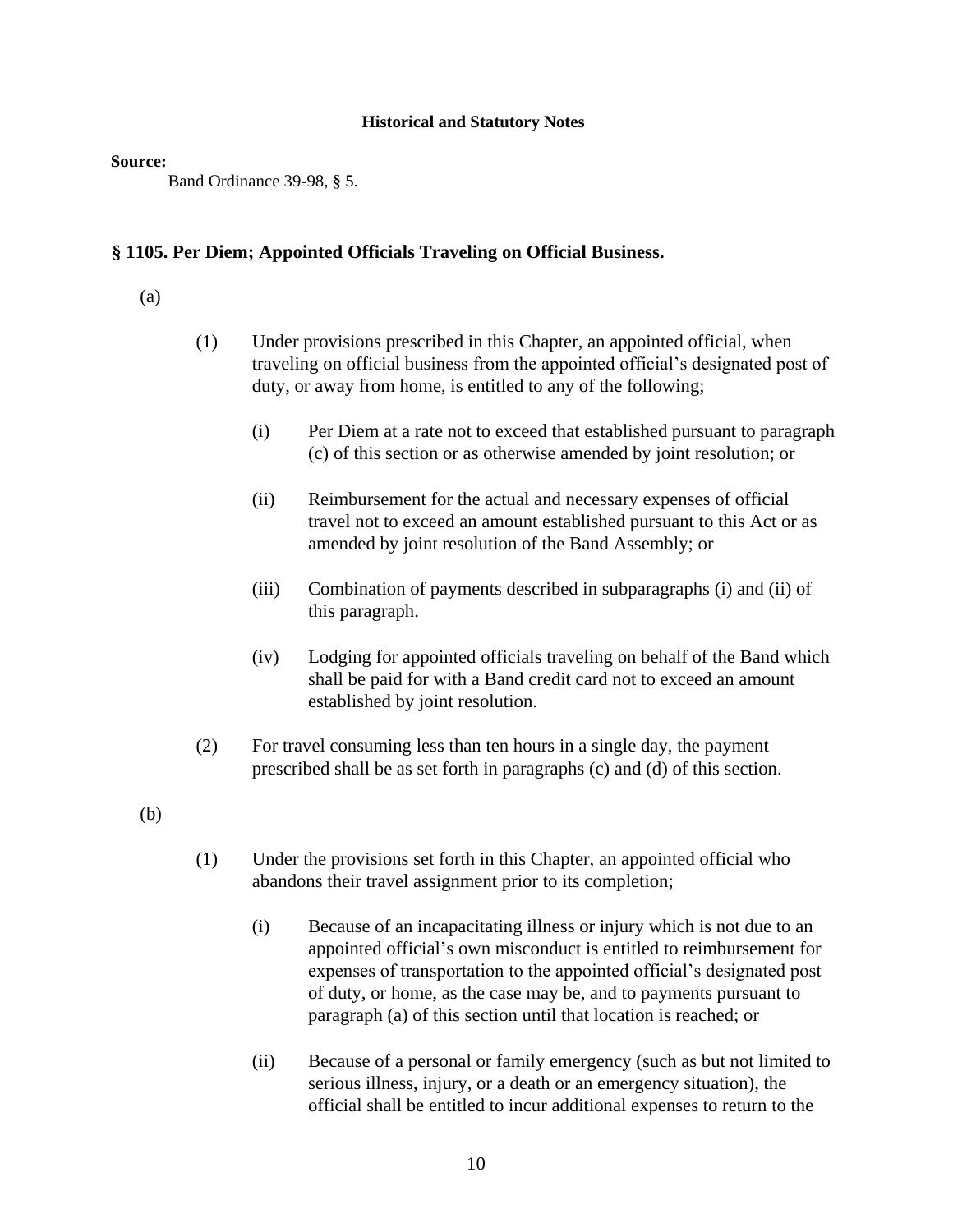#### **Source:**

Band Ordinance 39-98, § 5.

# **§ 1105. Per Diem; Appointed Officials Traveling on Official Business.**

#### (a)

- (1) Under provisions prescribed in this Chapter, an appointed official, when traveling on official business from the appointed official's designated post of duty, or away from home, is entitled to any of the following;
	- (i) Per Diem at a rate not to exceed that established pursuant to paragraph (c) of this section or as otherwise amended by joint resolution; or
	- (ii) Reimbursement for the actual and necessary expenses of official travel not to exceed an amount established pursuant to this Act or as amended by joint resolution of the Band Assembly; or
	- (iii) Combination of payments described in subparagraphs (i) and (ii) of this paragraph.
	- (iv) Lodging for appointed officials traveling on behalf of the Band which shall be paid for with a Band credit card not to exceed an amount established by joint resolution.
- (2) For travel consuming less than ten hours in a single day, the payment prescribed shall be as set forth in paragraphs (c) and (d) of this section.
- (b)
- (1) Under the provisions set forth in this Chapter, an appointed official who abandons their travel assignment prior to its completion;
	- (i) Because of an incapacitating illness or injury which is not due to an appointed official's own misconduct is entitled to reimbursement for expenses of transportation to the appointed official's designated post of duty, or home, as the case may be, and to payments pursuant to paragraph (a) of this section until that location is reached; or
	- (ii) Because of a personal or family emergency (such as but not limited to serious illness, injury, or a death or an emergency situation), the official shall be entitled to incur additional expenses to return to the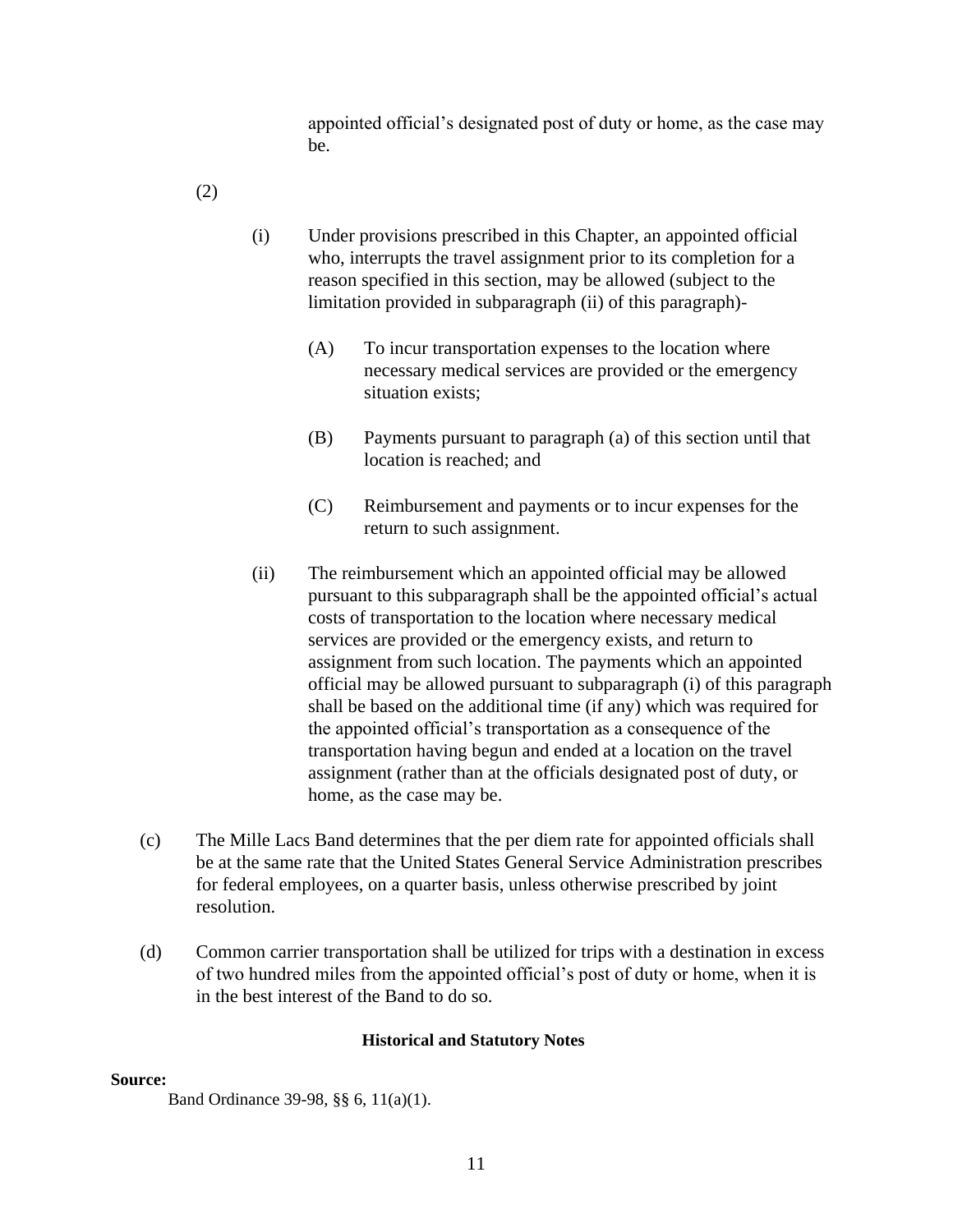appointed official's designated post of duty or home, as the case may be.

(2)

- (i) Under provisions prescribed in this Chapter, an appointed official who, interrupts the travel assignment prior to its completion for a reason specified in this section, may be allowed (subject to the limitation provided in subparagraph (ii) of this paragraph)-
	- (A) To incur transportation expenses to the location where necessary medical services are provided or the emergency situation exists;
	- (B) Payments pursuant to paragraph (a) of this section until that location is reached; and
	- (C) Reimbursement and payments or to incur expenses for the return to such assignment.
- (ii) The reimbursement which an appointed official may be allowed pursuant to this subparagraph shall be the appointed official's actual costs of transportation to the location where necessary medical services are provided or the emergency exists, and return to assignment from such location. The payments which an appointed official may be allowed pursuant to subparagraph (i) of this paragraph shall be based on the additional time (if any) which was required for the appointed official's transportation as a consequence of the transportation having begun and ended at a location on the travel assignment (rather than at the officials designated post of duty, or home, as the case may be.
- (c) The Mille Lacs Band determines that the per diem rate for appointed officials shall be at the same rate that the United States General Service Administration prescribes for federal employees, on a quarter basis, unless otherwise prescribed by joint resolution.
- (d) Common carrier transportation shall be utilized for trips with a destination in excess of two hundred miles from the appointed official's post of duty or home, when it is in the best interest of the Band to do so.

# **Historical and Statutory Notes**

#### **Source:**

Band Ordinance 39-98, §§ 6, 11(a)(1).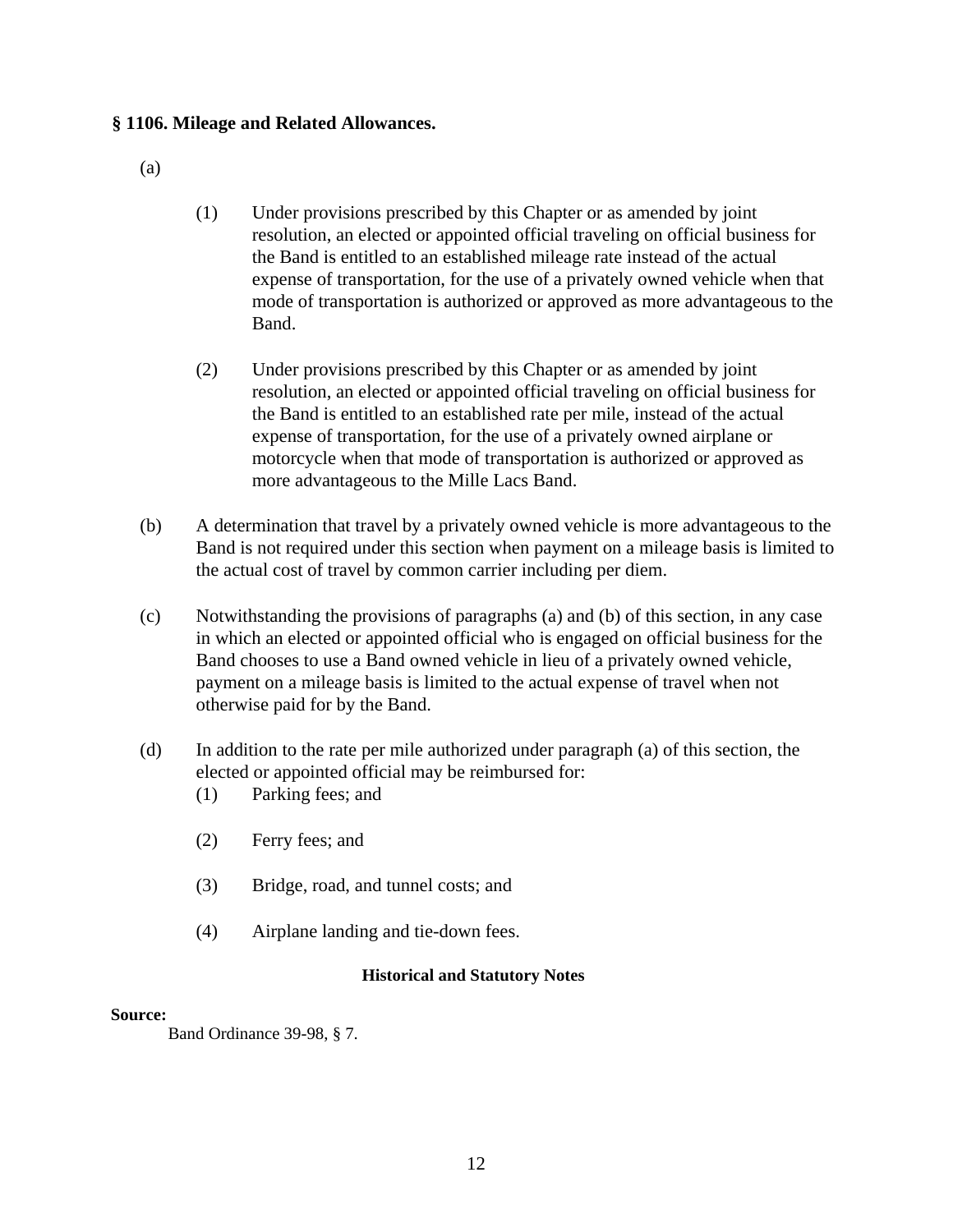# **§ 1106. Mileage and Related Allowances.**

- (a)
- (1) Under provisions prescribed by this Chapter or as amended by joint resolution, an elected or appointed official traveling on official business for the Band is entitled to an established mileage rate instead of the actual expense of transportation, for the use of a privately owned vehicle when that mode of transportation is authorized or approved as more advantageous to the Band.
- (2) Under provisions prescribed by this Chapter or as amended by joint resolution, an elected or appointed official traveling on official business for the Band is entitled to an established rate per mile, instead of the actual expense of transportation, for the use of a privately owned airplane or motorcycle when that mode of transportation is authorized or approved as more advantageous to the Mille Lacs Band.
- (b) A determination that travel by a privately owned vehicle is more advantageous to the Band is not required under this section when payment on a mileage basis is limited to the actual cost of travel by common carrier including per diem.
- (c) Notwithstanding the provisions of paragraphs (a) and (b) of this section, in any case in which an elected or appointed official who is engaged on official business for the Band chooses to use a Band owned vehicle in lieu of a privately owned vehicle, payment on a mileage basis is limited to the actual expense of travel when not otherwise paid for by the Band.
- (d) In addition to the rate per mile authorized under paragraph (a) of this section, the elected or appointed official may be reimbursed for:
	- (1) Parking fees; and
	- (2) Ferry fees; and
	- (3) Bridge, road, and tunnel costs; and
	- (4) Airplane landing and tie-down fees.

# **Historical and Statutory Notes**

#### **Source:**

Band Ordinance 39-98, § 7.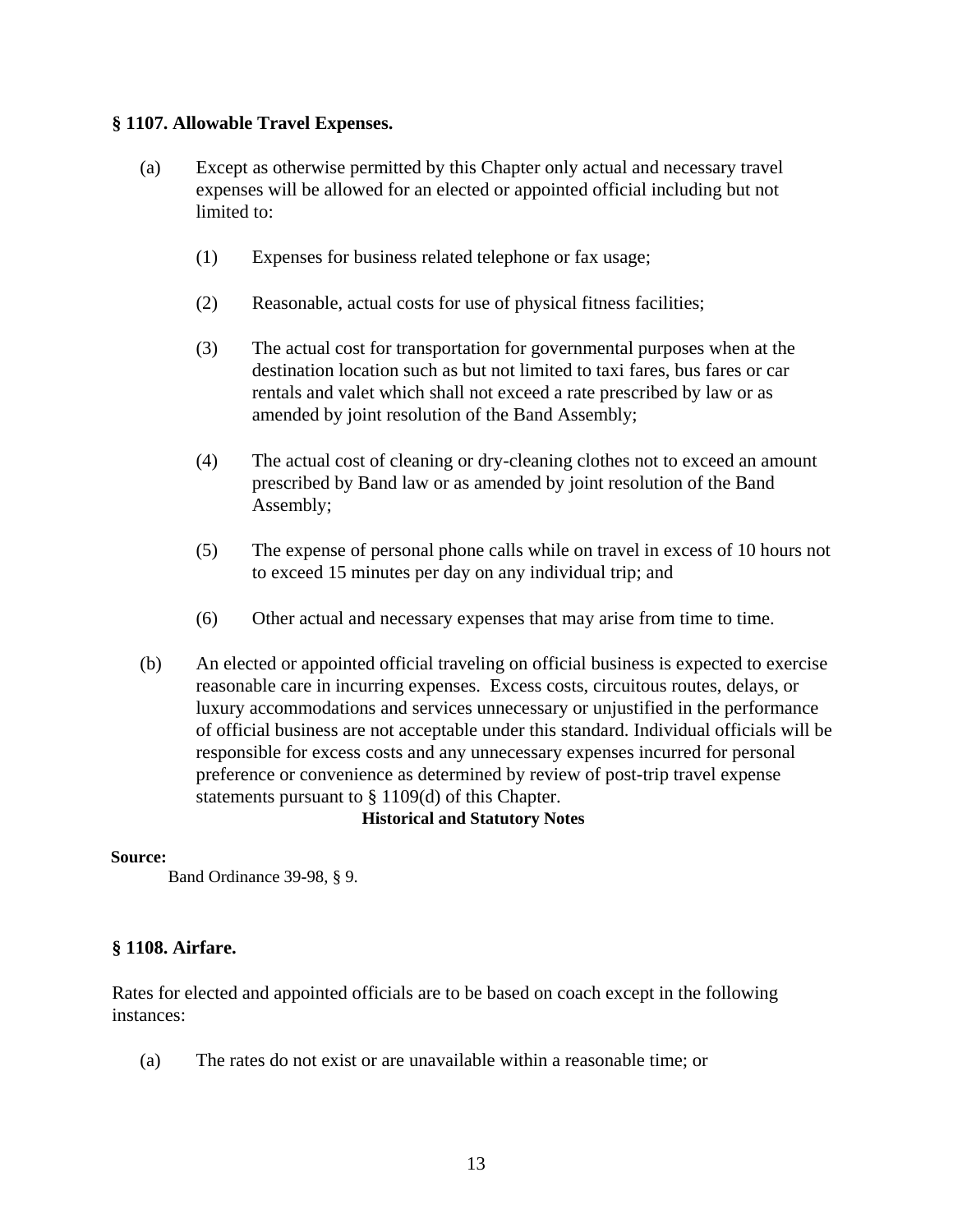# **§ 1107. Allowable Travel Expenses.**

- (a) Except as otherwise permitted by this Chapter only actual and necessary travel expenses will be allowed for an elected or appointed official including but not limited to:
	- (1) Expenses for business related telephone or fax usage;
	- (2) Reasonable, actual costs for use of physical fitness facilities;
	- (3) The actual cost for transportation for governmental purposes when at the destination location such as but not limited to taxi fares, bus fares or car rentals and valet which shall not exceed a rate prescribed by law or as amended by joint resolution of the Band Assembly;
	- (4) The actual cost of cleaning or dry-cleaning clothes not to exceed an amount prescribed by Band law or as amended by joint resolution of the Band Assembly;
	- (5) The expense of personal phone calls while on travel in excess of 10 hours not to exceed 15 minutes per day on any individual trip; and
	- (6) Other actual and necessary expenses that may arise from time to time.
- (b) An elected or appointed official traveling on official business is expected to exercise reasonable care in incurring expenses. Excess costs, circuitous routes, delays, or luxury accommodations and services unnecessary or unjustified in the performance of official business are not acceptable under this standard. Individual officials will be responsible for excess costs and any unnecessary expenses incurred for personal preference or convenience as determined by review of post-trip travel expense statements pursuant to § 1109(d) of this Chapter.

#### **Historical and Statutory Notes**

#### **Source:**

Band Ordinance 39-98, § 9.

# **§ 1108. Airfare.**

Rates for elected and appointed officials are to be based on coach except in the following instances:

(a) The rates do not exist or are unavailable within a reasonable time; or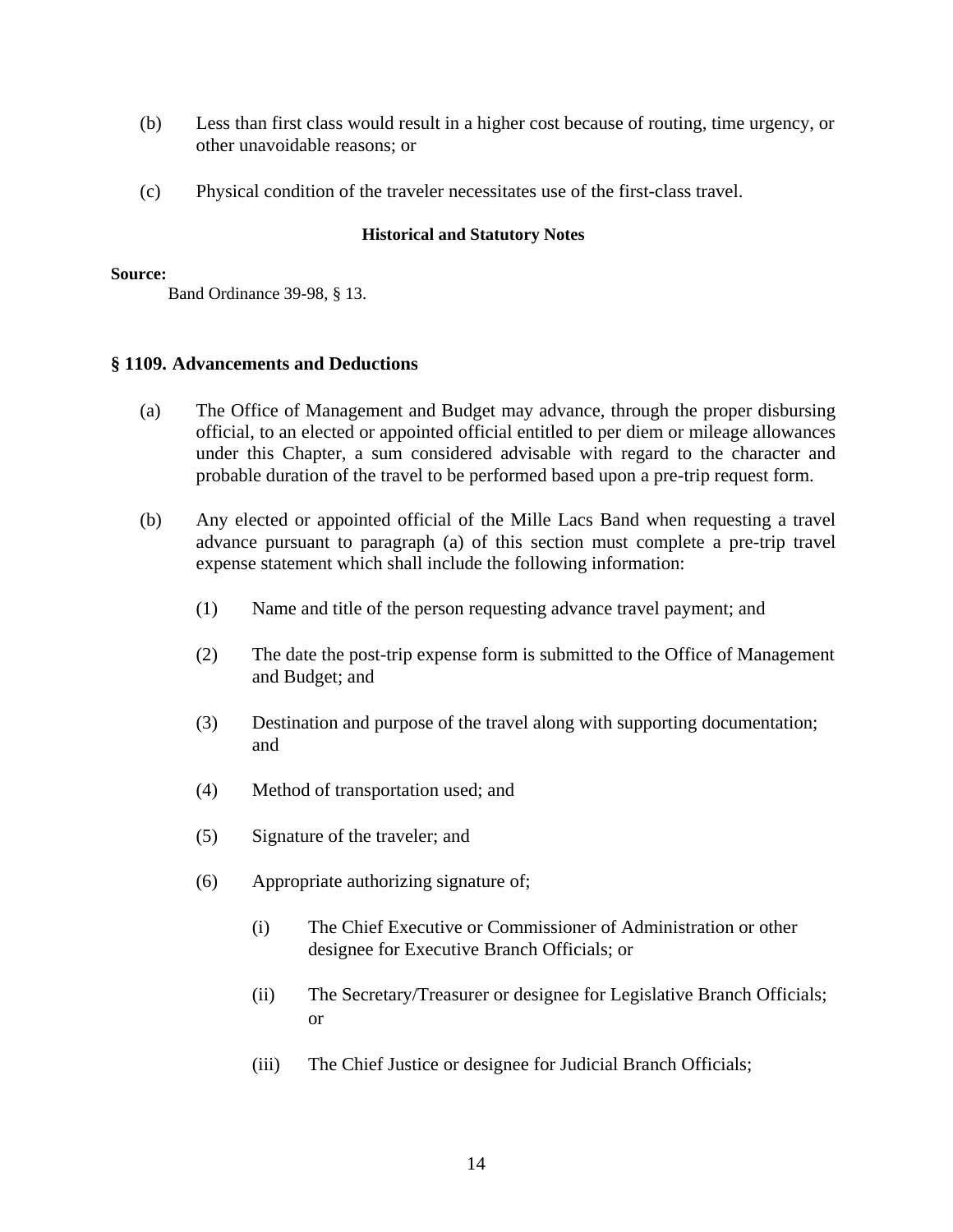- (b) Less than first class would result in a higher cost because of routing, time urgency, or other unavoidable reasons; or
- (c) Physical condition of the traveler necessitates use of the first-class travel.

#### **Source:**

Band Ordinance 39-98, § 13.

## **§ 1109. Advancements and Deductions**

- (a) The Office of Management and Budget may advance, through the proper disbursing official, to an elected or appointed official entitled to per diem or mileage allowances under this Chapter, a sum considered advisable with regard to the character and probable duration of the travel to be performed based upon a pre-trip request form.
- (b) Any elected or appointed official of the Mille Lacs Band when requesting a travel advance pursuant to paragraph (a) of this section must complete a pre-trip travel expense statement which shall include the following information:
	- (1) Name and title of the person requesting advance travel payment; and
	- (2) The date the post-trip expense form is submitted to the Office of Management and Budget; and
	- (3) Destination and purpose of the travel along with supporting documentation; and
	- (4) Method of transportation used; and
	- (5) Signature of the traveler; and
	- (6) Appropriate authorizing signature of;
		- (i) The Chief Executive or Commissioner of Administration or other designee for Executive Branch Officials; or
		- (ii) The Secretary/Treasurer or designee for Legislative Branch Officials; or
		- (iii) The Chief Justice or designee for Judicial Branch Officials;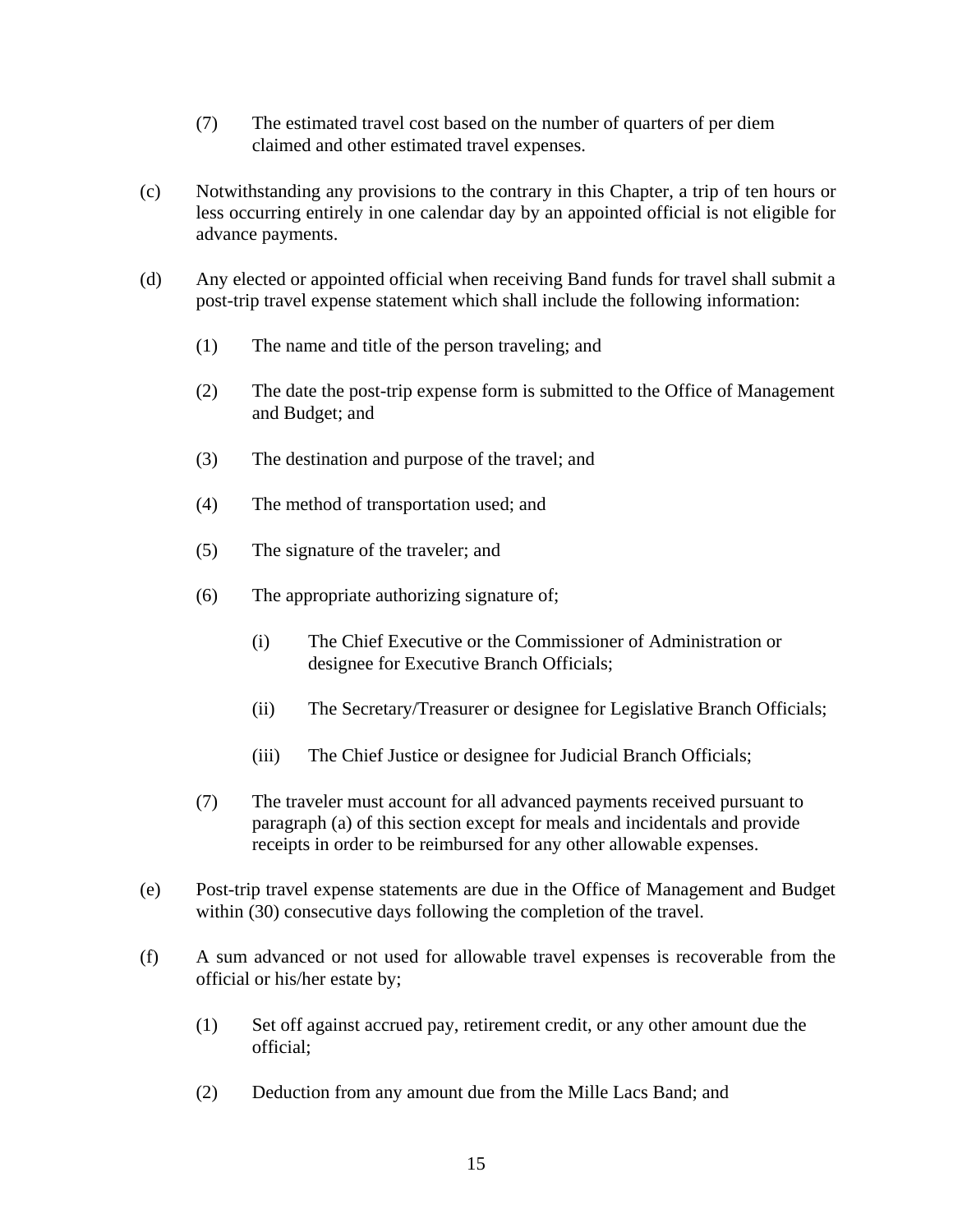- (7) The estimated travel cost based on the number of quarters of per diem claimed and other estimated travel expenses.
- (c) Notwithstanding any provisions to the contrary in this Chapter, a trip of ten hours or less occurring entirely in one calendar day by an appointed official is not eligible for advance payments.
- (d) Any elected or appointed official when receiving Band funds for travel shall submit a post-trip travel expense statement which shall include the following information:
	- (1) The name and title of the person traveling; and
	- (2) The date the post-trip expense form is submitted to the Office of Management and Budget; and
	- (3) The destination and purpose of the travel; and
	- (4) The method of transportation used; and
	- (5) The signature of the traveler; and
	- (6) The appropriate authorizing signature of;
		- (i) The Chief Executive or the Commissioner of Administration or designee for Executive Branch Officials;
		- (ii) The Secretary/Treasurer or designee for Legislative Branch Officials;
		- (iii) The Chief Justice or designee for Judicial Branch Officials;
	- (7) The traveler must account for all advanced payments received pursuant to paragraph (a) of this section except for meals and incidentals and provide receipts in order to be reimbursed for any other allowable expenses.
- (e) Post-trip travel expense statements are due in the Office of Management and Budget within (30) consecutive days following the completion of the travel.
- (f) A sum advanced or not used for allowable travel expenses is recoverable from the official or his/her estate by;
	- (1) Set off against accrued pay, retirement credit, or any other amount due the official;
	- (2) Deduction from any amount due from the Mille Lacs Band; and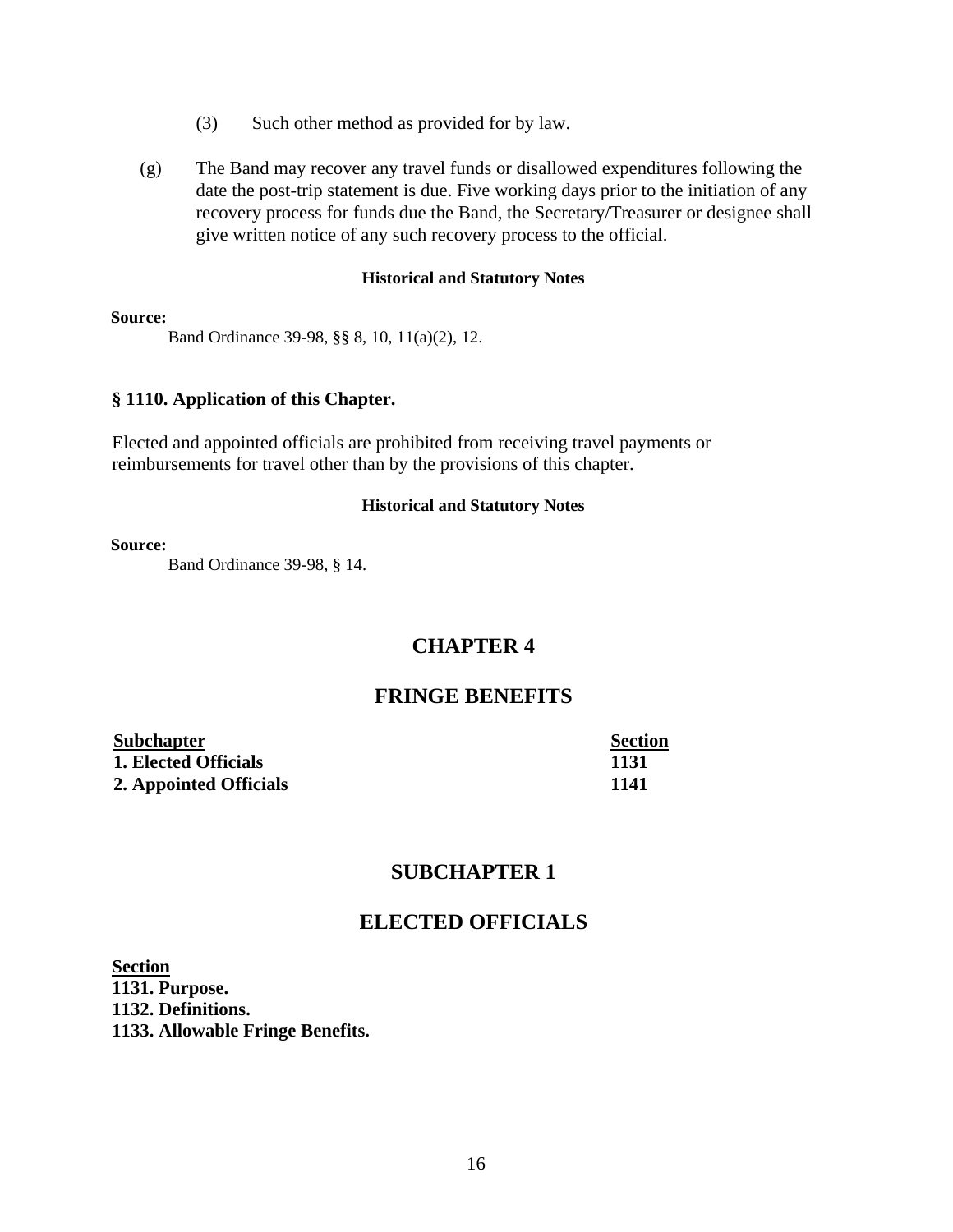- (3) Such other method as provided for by law.
- (g) The Band may recover any travel funds or disallowed expenditures following the date the post-trip statement is due. Five working days prior to the initiation of any recovery process for funds due the Band, the Secretary/Treasurer or designee shall give written notice of any such recovery process to the official.

#### **Source:**

Band Ordinance 39-98, §§ 8, 10, 11(a)(2), 12.

#### **§ 1110. Application of this Chapter.**

Elected and appointed officials are prohibited from receiving travel payments or reimbursements for travel other than by the provisions of this chapter.

#### **Historical and Statutory Notes**

#### **Source:**

Band Ordinance 39-98, § 14.

# **CHAPTER 4**

# **FRINGE BENEFITS**

| <b>Subchapter</b>      | <b>Section</b> |
|------------------------|----------------|
| 1. Elected Officials   | 1131           |
| 2. Appointed Officials | 1141           |

# **SUBCHAPTER 1**

# **ELECTED OFFICIALS**

**Section 1131. Purpose. 1132. Definitions. 1133. Allowable Fringe Benefits.**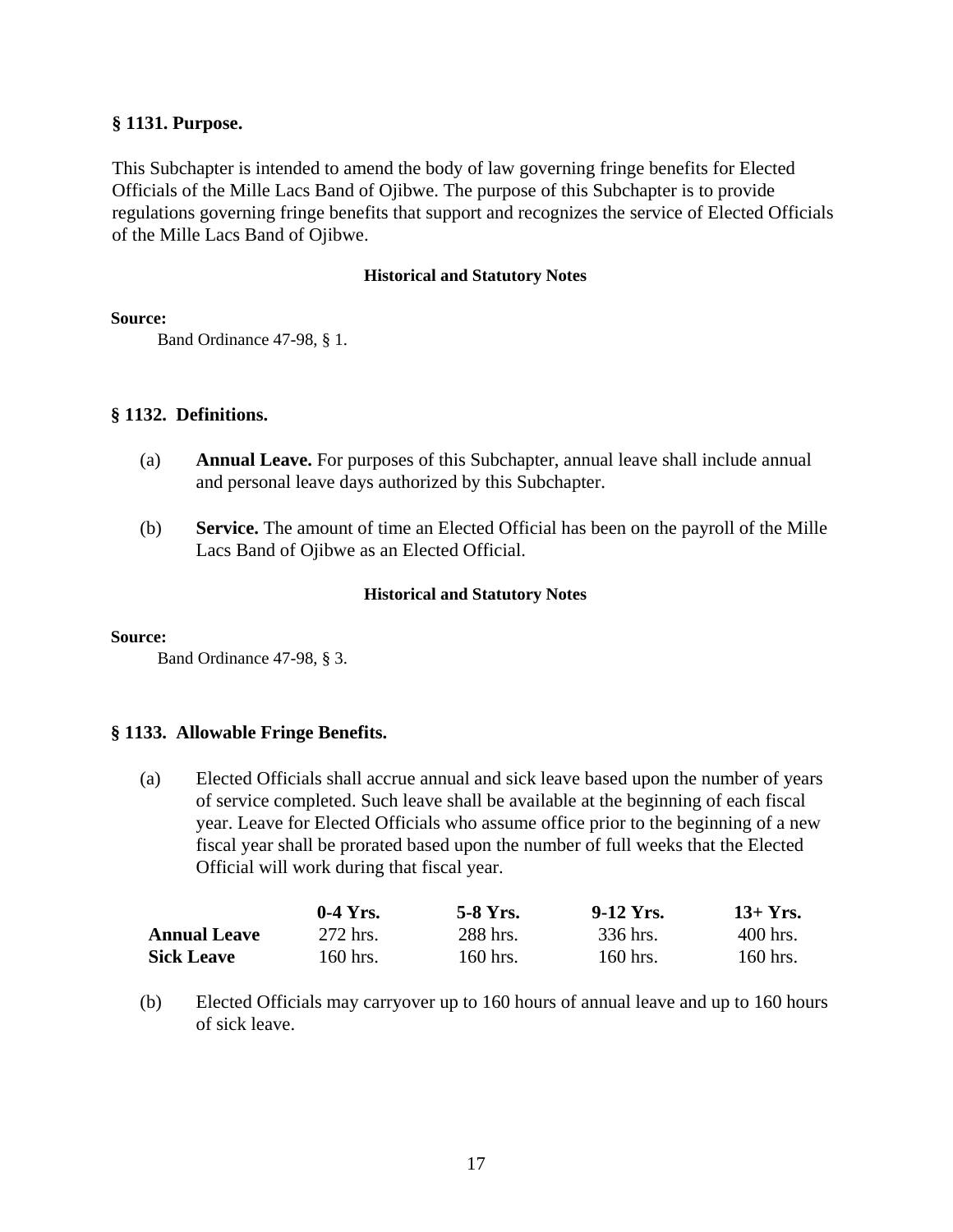# **§ 1131. Purpose.**

This Subchapter is intended to amend the body of law governing fringe benefits for Elected Officials of the Mille Lacs Band of Ojibwe. The purpose of this Subchapter is to provide regulations governing fringe benefits that support and recognizes the service of Elected Officials of the Mille Lacs Band of Ojibwe.

### **Historical and Statutory Notes**

#### **Source:**

Band Ordinance 47-98, § 1.

# **§ 1132. Definitions.**

- (a) **Annual Leave.** For purposes of this Subchapter, annual leave shall include annual and personal leave days authorized by this Subchapter.
- (b) **Service.** The amount of time an Elected Official has been on the payroll of the Mille Lacs Band of Ojibwe as an Elected Official.

## **Historical and Statutory Notes**

#### **Source:**

Band Ordinance 47-98, § 3.

# **§ 1133. Allowable Fringe Benefits.**

(a) Elected Officials shall accrue annual and sick leave based upon the number of years of service completed. Such leave shall be available at the beginning of each fiscal year. Leave for Elected Officials who assume office prior to the beginning of a new fiscal year shall be prorated based upon the number of full weeks that the Elected Official will work during that fiscal year.

|                     | $0-4$ Yrs. | 5-8 Yrs. | $9-12$ Yrs. | $13+Yrs.$  |
|---------------------|------------|----------|-------------|------------|
| <b>Annual Leave</b> | 272 hrs.   | 288 hrs. | 336 hrs.    | $400$ hrs. |
| <b>Sick Leave</b>   | 160 hrs.   | 160 hrs. | 160 hrs.    | $160$ hrs. |

(b) Elected Officials may carryover up to 160 hours of annual leave and up to 160 hours of sick leave.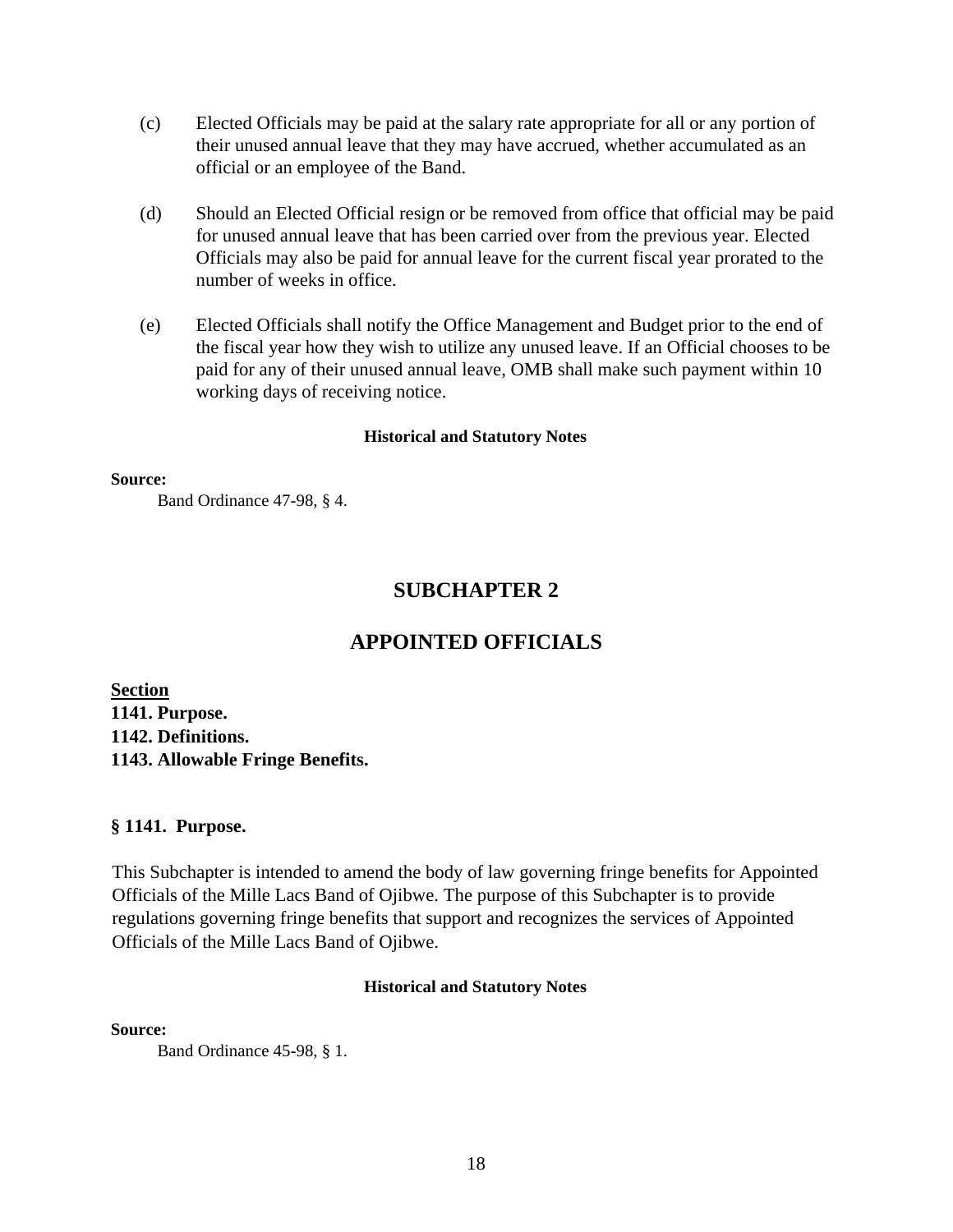- (c) Elected Officials may be paid at the salary rate appropriate for all or any portion of their unused annual leave that they may have accrued, whether accumulated as an official or an employee of the Band.
- (d) Should an Elected Official resign or be removed from office that official may be paid for unused annual leave that has been carried over from the previous year. Elected Officials may also be paid for annual leave for the current fiscal year prorated to the number of weeks in office.
- (e) Elected Officials shall notify the Office Management and Budget prior to the end of the fiscal year how they wish to utilize any unused leave. If an Official chooses to be paid for any of their unused annual leave, OMB shall make such payment within 10 working days of receiving notice.

#### **Source:**

Band Ordinance 47-98, § 4.

# **SUBCHAPTER 2**

# **APPOINTED OFFICIALS**

**Section 1141. Purpose. 1142. Definitions. 1143. Allowable Fringe Benefits.**

# **§ 1141. Purpose.**

This Subchapter is intended to amend the body of law governing fringe benefits for Appointed Officials of the Mille Lacs Band of Ojibwe. The purpose of this Subchapter is to provide regulations governing fringe benefits that support and recognizes the services of Appointed Officials of the Mille Lacs Band of Ojibwe.

#### **Historical and Statutory Notes**

**Source:**

Band Ordinance 45-98, § 1.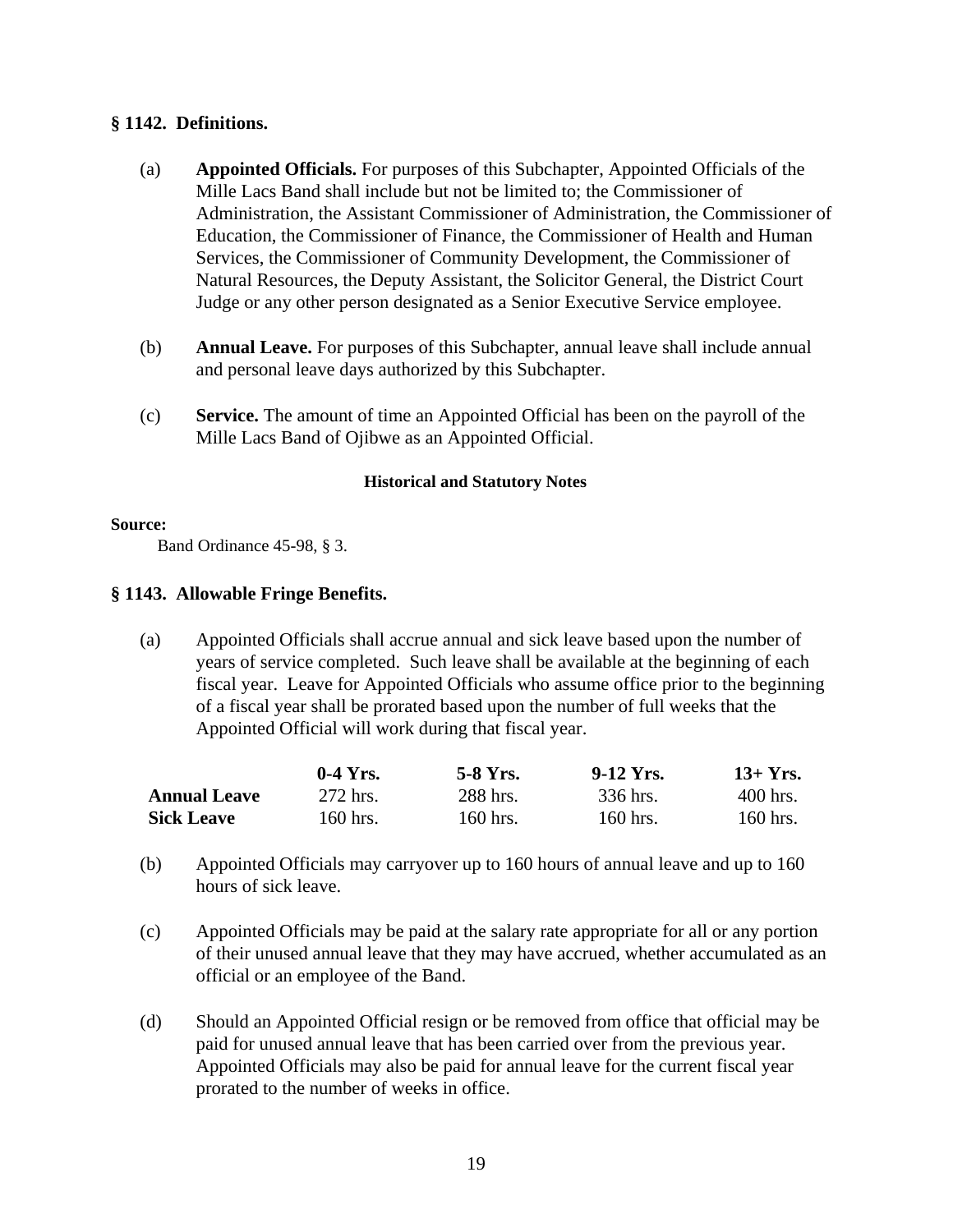# **§ 1142. Definitions.**

- (a) **Appointed Officials.** For purposes of this Subchapter, Appointed Officials of the Mille Lacs Band shall include but not be limited to; the Commissioner of Administration, the Assistant Commissioner of Administration, the Commissioner of Education, the Commissioner of Finance, the Commissioner of Health and Human Services, the Commissioner of Community Development, the Commissioner of Natural Resources, the Deputy Assistant, the Solicitor General, the District Court Judge or any other person designated as a Senior Executive Service employee.
- (b) **Annual Leave.** For purposes of this Subchapter, annual leave shall include annual and personal leave days authorized by this Subchapter.
- (c) **Service.** The amount of time an Appointed Official has been on the payroll of the Mille Lacs Band of Ojibwe as an Appointed Official.

## **Historical and Statutory Notes**

#### **Source:**

Band Ordinance 45-98, § 3.

# **§ 1143. Allowable Fringe Benefits.**

(a) Appointed Officials shall accrue annual and sick leave based upon the number of years of service completed. Such leave shall be available at the beginning of each fiscal year. Leave for Appointed Officials who assume office prior to the beginning of a fiscal year shall be prorated based upon the number of full weeks that the Appointed Official will work during that fiscal year.

|                     | $0-4$ Yrs. | 5-8 Yrs. | 9-12 Yrs. | $13+Yrs.$  |
|---------------------|------------|----------|-----------|------------|
| <b>Annual Leave</b> | 272 hrs.   | 288 hrs. | 336 hrs.  | $400$ hrs. |
| <b>Sick Leave</b>   | $160$ hrs. | 160 hrs. | 160 hrs.  | 160 hrs.   |

- (b) Appointed Officials may carryover up to 160 hours of annual leave and up to 160 hours of sick leave.
- (c) Appointed Officials may be paid at the salary rate appropriate for all or any portion of their unused annual leave that they may have accrued, whether accumulated as an official or an employee of the Band.
- (d) Should an Appointed Official resign or be removed from office that official may be paid for unused annual leave that has been carried over from the previous year. Appointed Officials may also be paid for annual leave for the current fiscal year prorated to the number of weeks in office.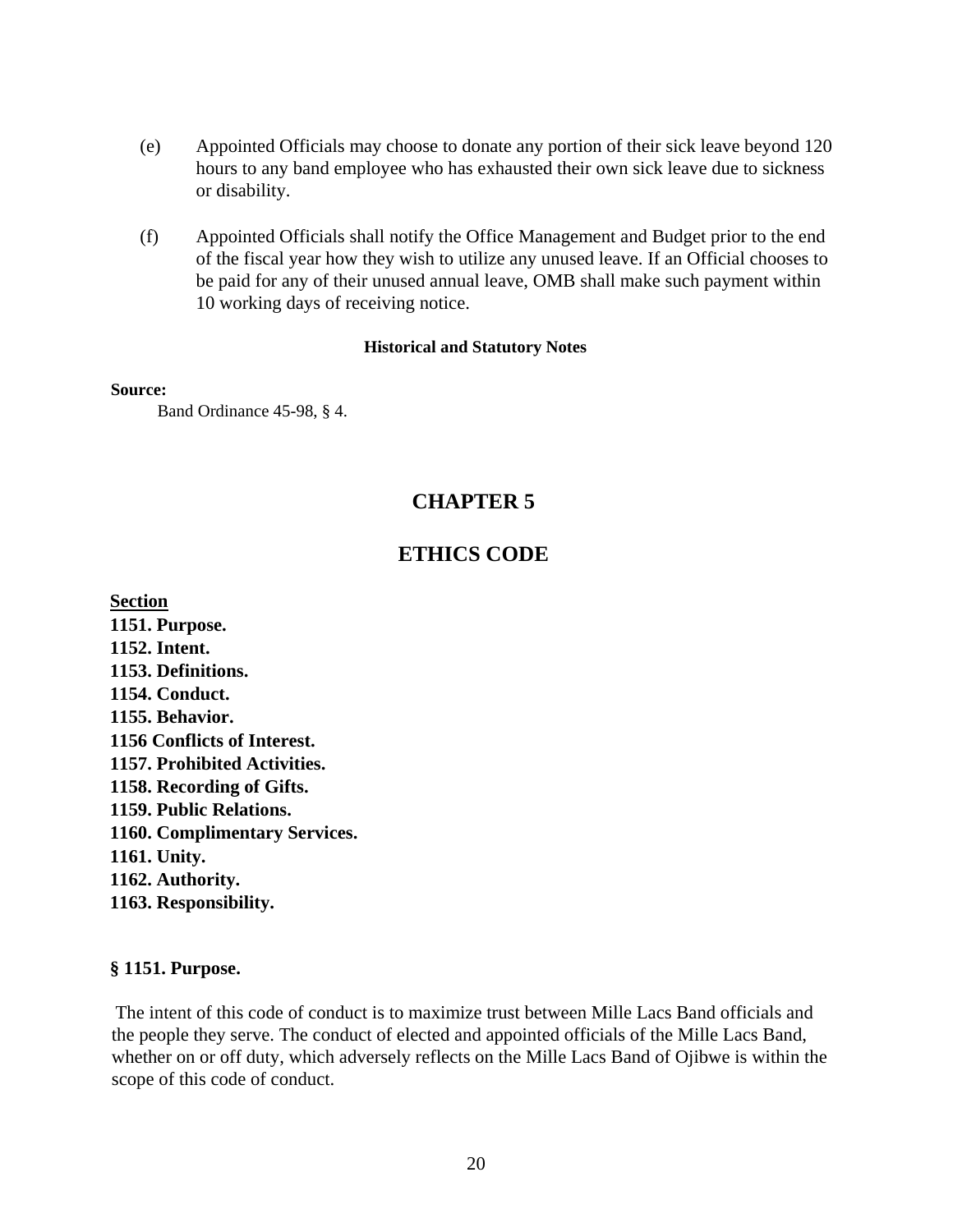- (e) Appointed Officials may choose to donate any portion of their sick leave beyond 120 hours to any band employee who has exhausted their own sick leave due to sickness or disability.
- (f) Appointed Officials shall notify the Office Management and Budget prior to the end of the fiscal year how they wish to utilize any unused leave. If an Official chooses to be paid for any of their unused annual leave, OMB shall make such payment within 10 working days of receiving notice.

#### **Source:**

Band Ordinance 45-98, § 4.

# **CHAPTER 5**

# **ETHICS CODE**

**Section 1151. Purpose. 1152. Intent. 1153. Definitions. 1154. Conduct. 1155. Behavior. 1156 Conflicts of Interest. 1157. Prohibited Activities. 1158. Recording of Gifts. 1159. Public Relations. 1160. Complimentary Services. 1161. Unity. 1162. Authority. 1163. Responsibility.**

# **§ 1151. Purpose.**

The intent of this code of conduct is to maximize trust between Mille Lacs Band officials and the people they serve. The conduct of elected and appointed officials of the Mille Lacs Band, whether on or off duty, which adversely reflects on the Mille Lacs Band of Ojibwe is within the scope of this code of conduct.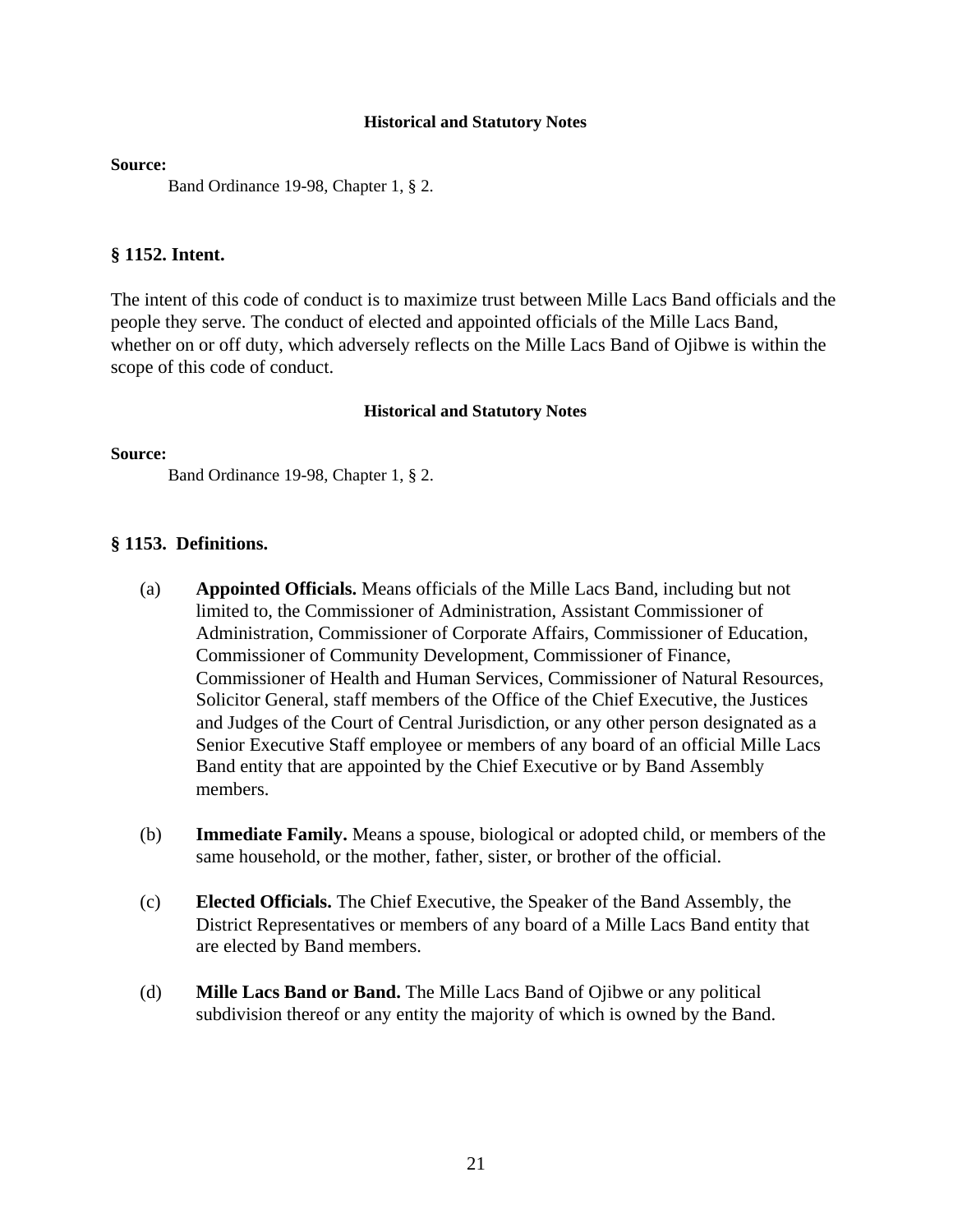**Source:**

Band Ordinance 19-98, Chapter 1, § 2.

# **§ 1152. Intent.**

The intent of this code of conduct is to maximize trust between Mille Lacs Band officials and the people they serve. The conduct of elected and appointed officials of the Mille Lacs Band, whether on or off duty, which adversely reflects on the Mille Lacs Band of Ojibwe is within the scope of this code of conduct.

#### **Historical and Statutory Notes**

#### **Source:**

Band Ordinance 19-98, Chapter 1, § 2.

## **§ 1153. Definitions.**

- (a) **Appointed Officials.** Means officials of the Mille Lacs Band, including but not limited to, the Commissioner of Administration, Assistant Commissioner of Administration, Commissioner of Corporate Affairs, Commissioner of Education, Commissioner of Community Development, Commissioner of Finance, Commissioner of Health and Human Services, Commissioner of Natural Resources, Solicitor General, staff members of the Office of the Chief Executive, the Justices and Judges of the Court of Central Jurisdiction, or any other person designated as a Senior Executive Staff employee or members of any board of an official Mille Lacs Band entity that are appointed by the Chief Executive or by Band Assembly members.
- (b) **Immediate Family.** Means a spouse, biological or adopted child, or members of the same household, or the mother, father, sister, or brother of the official.
- (c) **Elected Officials.** The Chief Executive, the Speaker of the Band Assembly, the District Representatives or members of any board of a Mille Lacs Band entity that are elected by Band members.
- (d) **Mille Lacs Band or Band.** The Mille Lacs Band of Ojibwe or any political subdivision thereof or any entity the majority of which is owned by the Band.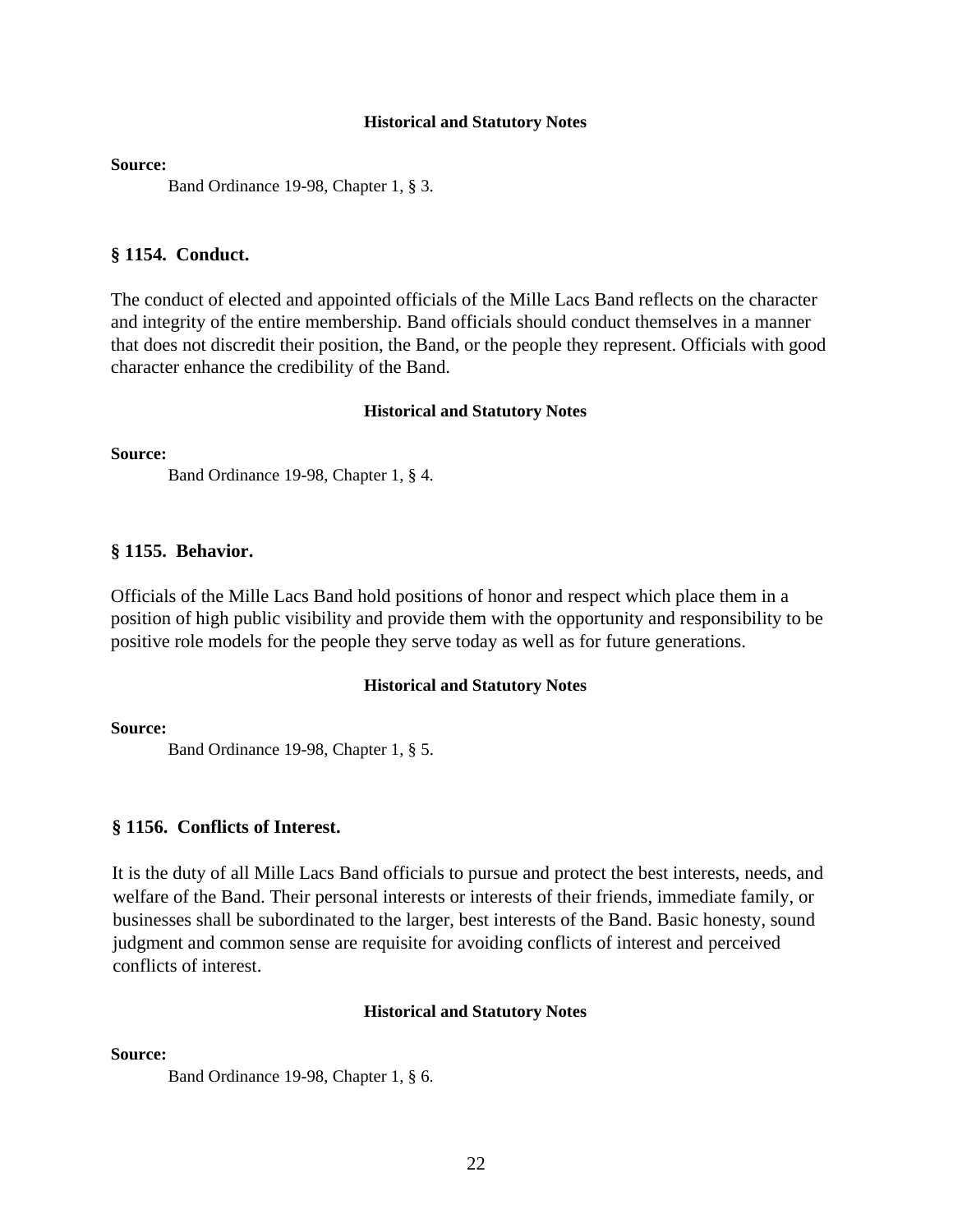**Source:**

Band Ordinance 19-98, Chapter 1, § 3.

#### **§ 1154. Conduct.**

The conduct of elected and appointed officials of the Mille Lacs Band reflects on the character and integrity of the entire membership. Band officials should conduct themselves in a manner that does not discredit their position, the Band, or the people they represent. Officials with good character enhance the credibility of the Band.

#### **Historical and Statutory Notes**

**Source:**

Band Ordinance 19-98, Chapter 1, § 4.

#### **§ 1155. Behavior.**

Officials of the Mille Lacs Band hold positions of honor and respect which place them in a position of high public visibility and provide them with the opportunity and responsibility to be positive role models for the people they serve today as well as for future generations.

#### **Historical and Statutory Notes**

#### **Source:**

Band Ordinance 19-98, Chapter 1, § 5.

#### **§ 1156. Conflicts of Interest.**

It is the duty of all Mille Lacs Band officials to pursue and protect the best interests, needs, and welfare of the Band. Their personal interests or interests of their friends, immediate family, or businesses shall be subordinated to the larger, best interests of the Band. Basic honesty, sound judgment and common sense are requisite for avoiding conflicts of interest and perceived conflicts of interest.

## **Historical and Statutory Notes**

**Source:**

Band Ordinance 19-98, Chapter 1, § 6.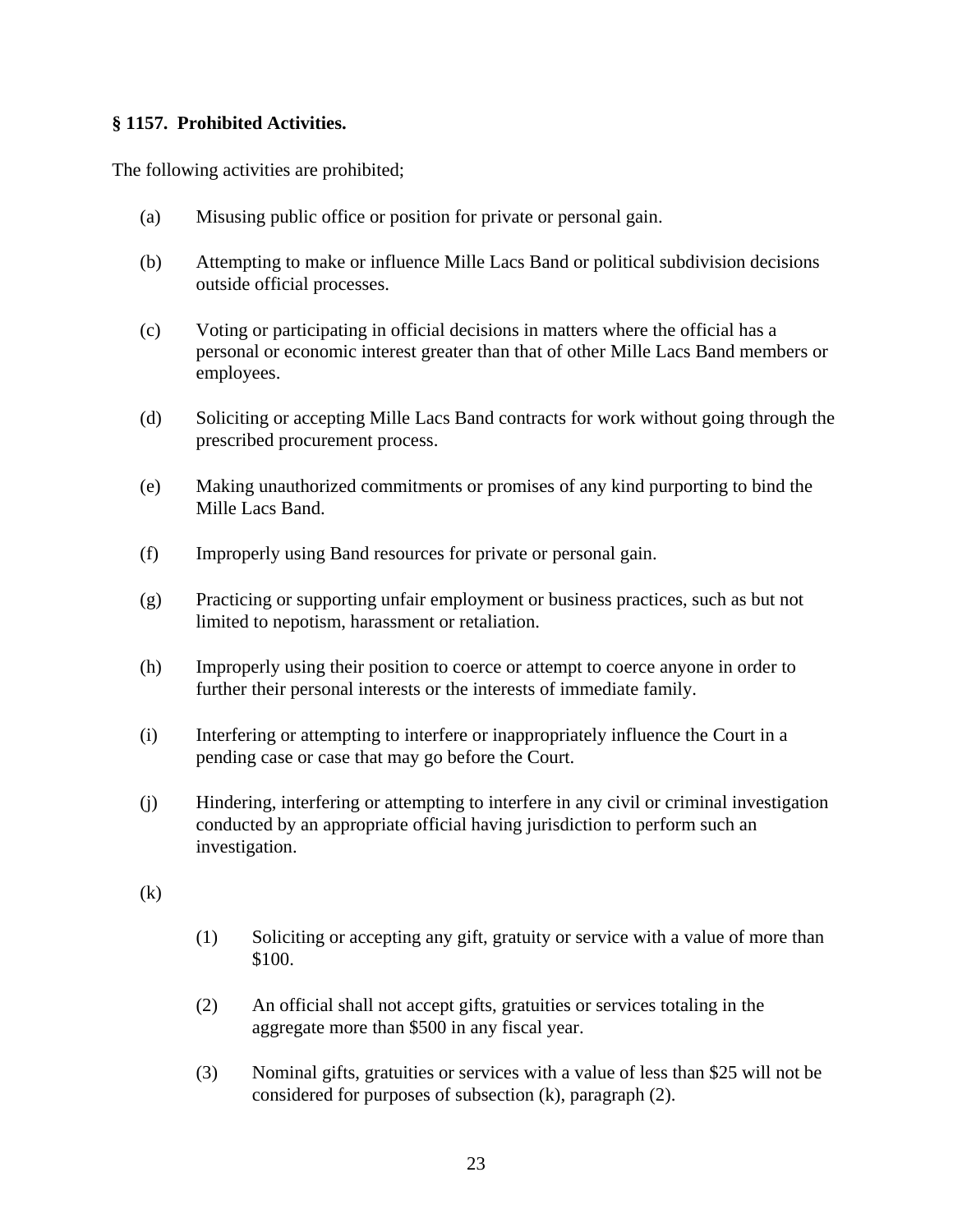# **§ 1157. Prohibited Activities.**

The following activities are prohibited;

- (a) Misusing public office or position for private or personal gain.
- (b) Attempting to make or influence Mille Lacs Band or political subdivision decisions outside official processes.
- (c) Voting or participating in official decisions in matters where the official has a personal or economic interest greater than that of other Mille Lacs Band members or employees.
- (d) Soliciting or accepting Mille Lacs Band contracts for work without going through the prescribed procurement process.
- (e) Making unauthorized commitments or promises of any kind purporting to bind the Mille Lacs Band.
- (f) Improperly using Band resources for private or personal gain.
- (g) Practicing or supporting unfair employment or business practices, such as but not limited to nepotism, harassment or retaliation.
- (h) Improperly using their position to coerce or attempt to coerce anyone in order to further their personal interests or the interests of immediate family.
- (i) Interfering or attempting to interfere or inappropriately influence the Court in a pending case or case that may go before the Court.
- (j) Hindering, interfering or attempting to interfere in any civil or criminal investigation conducted by an appropriate official having jurisdiction to perform such an investigation.

(k)

- (1) Soliciting or accepting any gift, gratuity or service with a value of more than \$100.
- (2) An official shall not accept gifts, gratuities or services totaling in the aggregate more than \$500 in any fiscal year.
- (3) Nominal gifts, gratuities or services with a value of less than \$25 will not be considered for purposes of subsection (k), paragraph (2).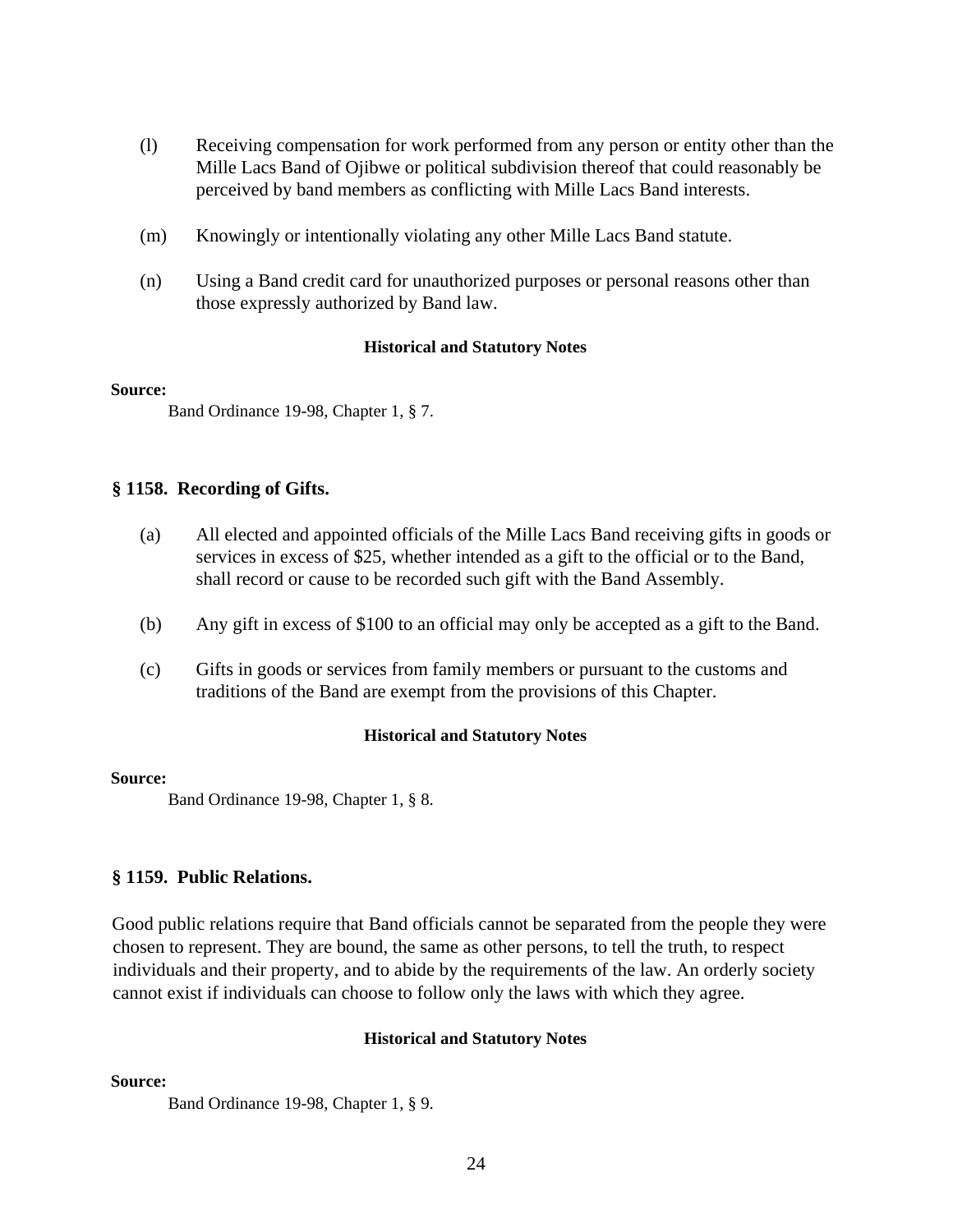- (l) Receiving compensation for work performed from any person or entity other than the Mille Lacs Band of Ojibwe or political subdivision thereof that could reasonably be perceived by band members as conflicting with Mille Lacs Band interests.
- (m) Knowingly or intentionally violating any other Mille Lacs Band statute.
- (n) Using a Band credit card for unauthorized purposes or personal reasons other than those expressly authorized by Band law.

#### **Source:**

Band Ordinance 19-98, Chapter 1, § 7.

#### **§ 1158. Recording of Gifts.**

- (a) All elected and appointed officials of the Mille Lacs Band receiving gifts in goods or services in excess of \$25, whether intended as a gift to the official or to the Band, shall record or cause to be recorded such gift with the Band Assembly.
- (b) Any gift in excess of \$100 to an official may only be accepted as a gift to the Band.
- (c) Gifts in goods or services from family members or pursuant to the customs and traditions of the Band are exempt from the provisions of this Chapter.

#### **Historical and Statutory Notes**

#### **Source:**

Band Ordinance 19-98, Chapter 1, § 8.

#### **§ 1159. Public Relations.**

Good public relations require that Band officials cannot be separated from the people they were chosen to represent. They are bound, the same as other persons, to tell the truth, to respect individuals and their property, and to abide by the requirements of the law. An orderly society cannot exist if individuals can choose to follow only the laws with which they agree.

#### **Historical and Statutory Notes**

**Source:**

Band Ordinance 19-98, Chapter 1, § 9.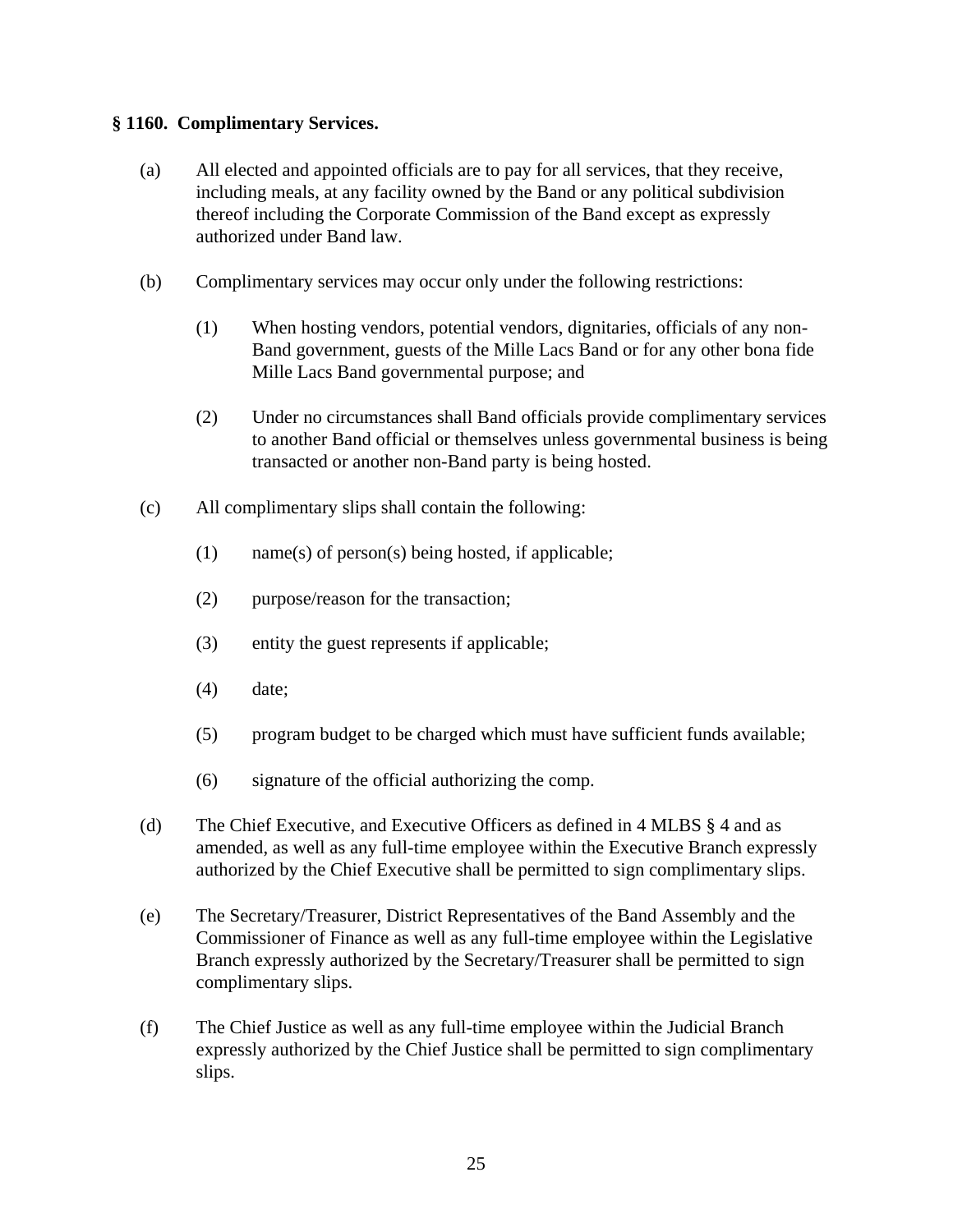# **§ 1160. Complimentary Services.**

- (a) All elected and appointed officials are to pay for all services, that they receive, including meals, at any facility owned by the Band or any political subdivision thereof including the Corporate Commission of the Band except as expressly authorized under Band law.
- (b) Complimentary services may occur only under the following restrictions:
	- (1) When hosting vendors, potential vendors, dignitaries, officials of any non-Band government, guests of the Mille Lacs Band or for any other bona fide Mille Lacs Band governmental purpose; and
	- (2) Under no circumstances shall Band officials provide complimentary services to another Band official or themselves unless governmental business is being transacted or another non-Band party is being hosted.
- (c) All complimentary slips shall contain the following:
	- (1) name(s) of person(s) being hosted, if applicable;
	- (2) purpose/reason for the transaction;
	- (3) entity the guest represents if applicable;
	- (4) date;
	- (5) program budget to be charged which must have sufficient funds available;
	- (6) signature of the official authorizing the comp.
- (d) The Chief Executive, and Executive Officers as defined in 4 MLBS § 4 and as amended, as well as any full-time employee within the Executive Branch expressly authorized by the Chief Executive shall be permitted to sign complimentary slips.
- (e) The Secretary/Treasurer, District Representatives of the Band Assembly and the Commissioner of Finance as well as any full-time employee within the Legislative Branch expressly authorized by the Secretary/Treasurer shall be permitted to sign complimentary slips.
- (f) The Chief Justice as well as any full-time employee within the Judicial Branch expressly authorized by the Chief Justice shall be permitted to sign complimentary slips.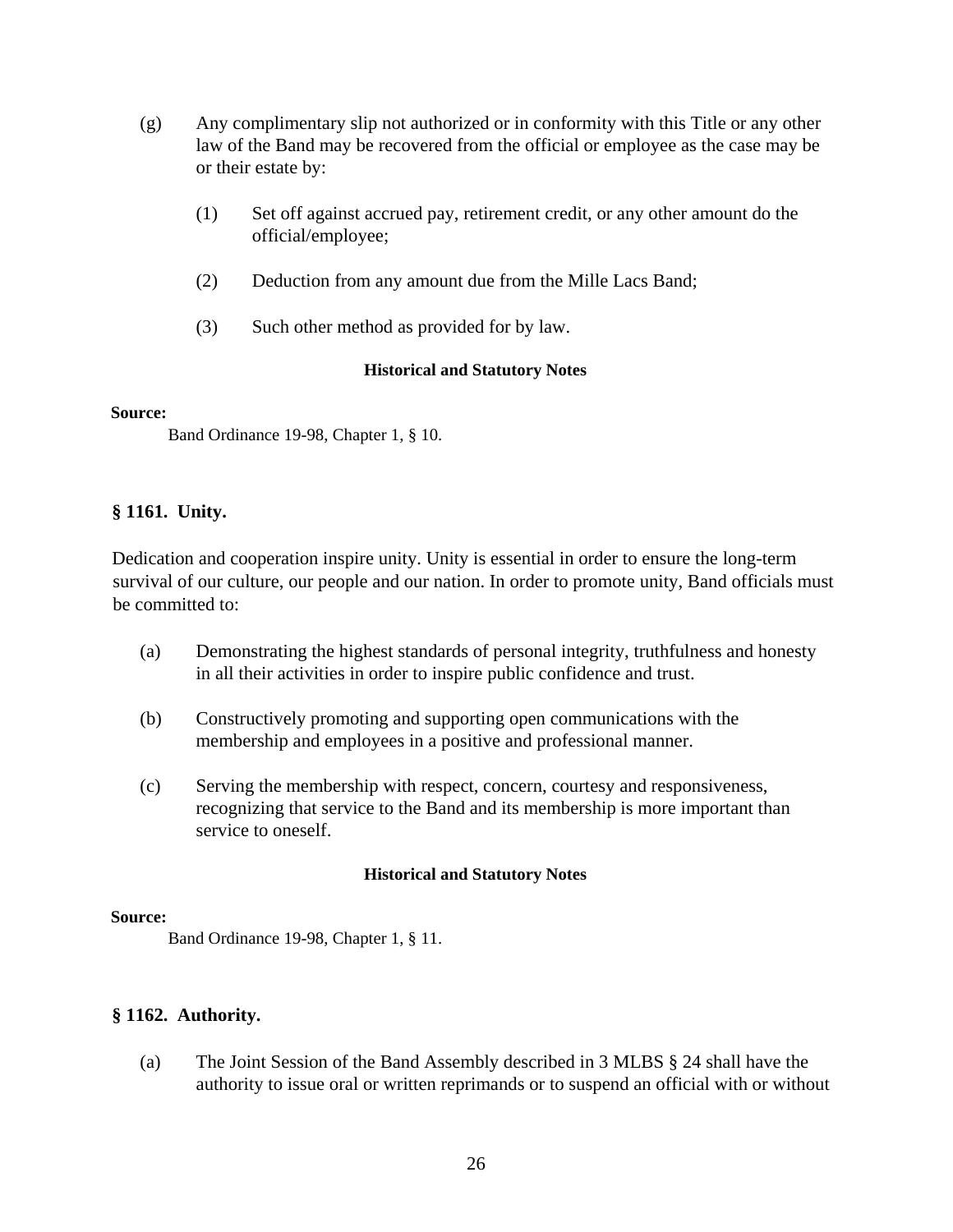- (g) Any complimentary slip not authorized or in conformity with this Title or any other law of the Band may be recovered from the official or employee as the case may be or their estate by:
	- (1) Set off against accrued pay, retirement credit, or any other amount do the official/employee;
	- (2) Deduction from any amount due from the Mille Lacs Band;
	- (3) Such other method as provided for by law.

#### **Source:**

Band Ordinance 19-98, Chapter 1, § 10.

# **§ 1161. Unity.**

Dedication and cooperation inspire unity. Unity is essential in order to ensure the long-term survival of our culture, our people and our nation. In order to promote unity, Band officials must be committed to:

- (a) Demonstrating the highest standards of personal integrity, truthfulness and honesty in all their activities in order to inspire public confidence and trust.
- (b) Constructively promoting and supporting open communications with the membership and employees in a positive and professional manner.
- (c) Serving the membership with respect, concern, courtesy and responsiveness, recognizing that service to the Band and its membership is more important than service to oneself.

# **Historical and Statutory Notes**

#### **Source:**

Band Ordinance 19-98, Chapter 1, § 11.

# **§ 1162. Authority.**

(a) The Joint Session of the Band Assembly described in 3 MLBS § 24 shall have the authority to issue oral or written reprimands or to suspend an official with or without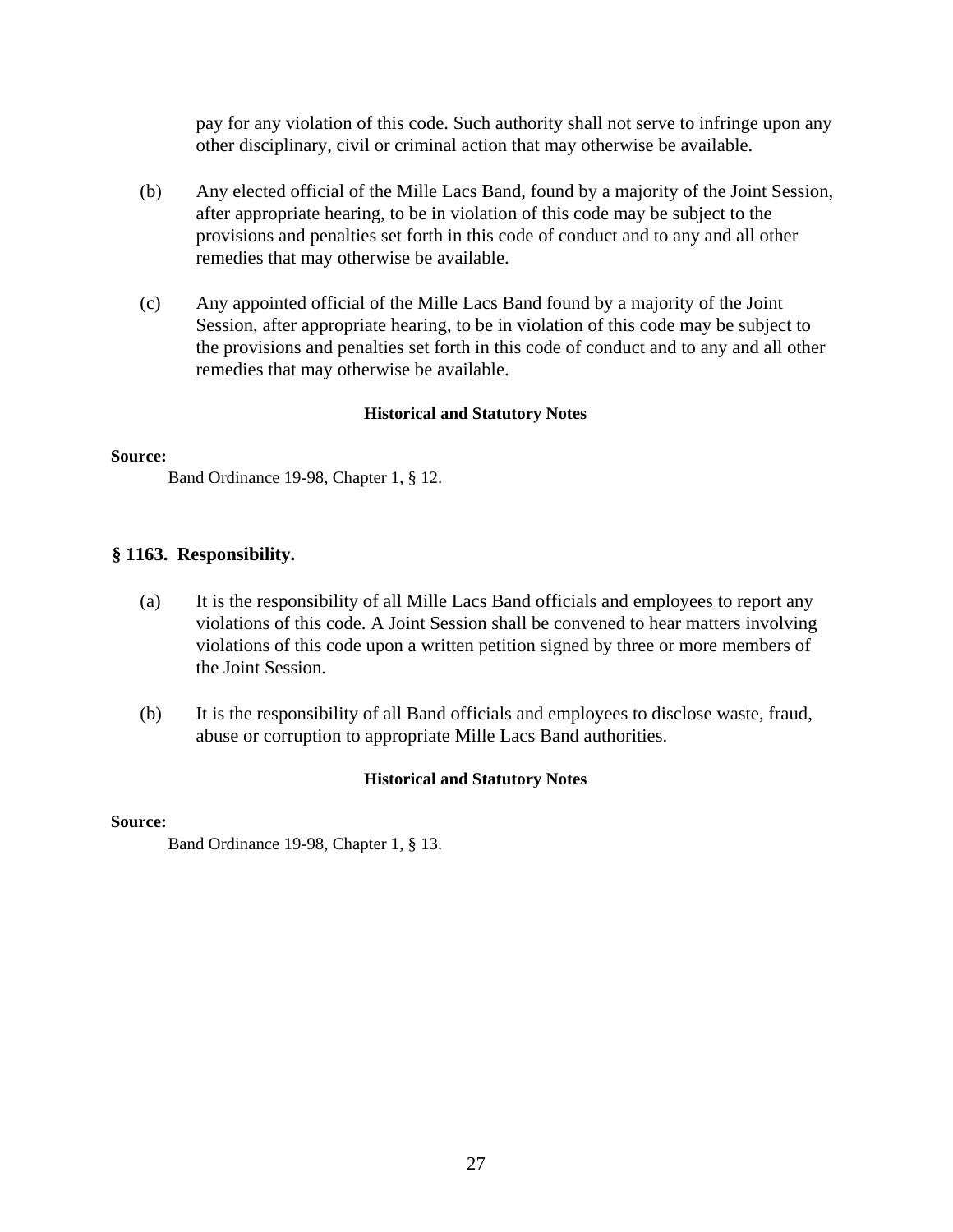pay for any violation of this code. Such authority shall not serve to infringe upon any other disciplinary, civil or criminal action that may otherwise be available.

- (b) Any elected official of the Mille Lacs Band, found by a majority of the Joint Session, after appropriate hearing, to be in violation of this code may be subject to the provisions and penalties set forth in this code of conduct and to any and all other remedies that may otherwise be available.
- (c) Any appointed official of the Mille Lacs Band found by a majority of the Joint Session, after appropriate hearing, to be in violation of this code may be subject to the provisions and penalties set forth in this code of conduct and to any and all other remedies that may otherwise be available.

## **Historical and Statutory Notes**

#### **Source:**

Band Ordinance 19-98, Chapter 1, § 12.

## **§ 1163. Responsibility.**

- (a) It is the responsibility of all Mille Lacs Band officials and employees to report any violations of this code. A Joint Session shall be convened to hear matters involving violations of this code upon a written petition signed by three or more members of the Joint Session.
- (b) It is the responsibility of all Band officials and employees to disclose waste, fraud, abuse or corruption to appropriate Mille Lacs Band authorities.

#### **Historical and Statutory Notes**

#### **Source:**

Band Ordinance 19-98, Chapter 1, § 13.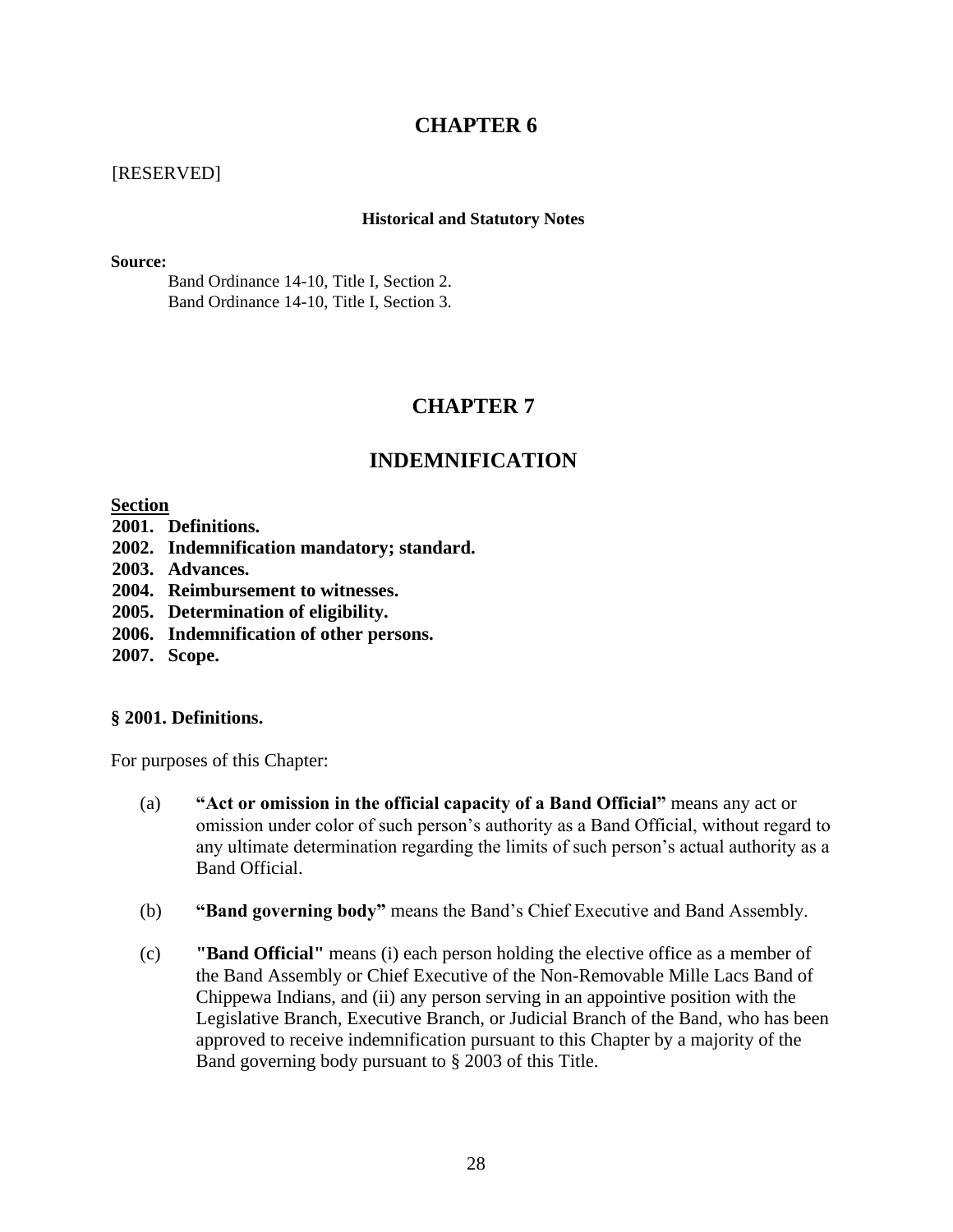# **CHAPTER 6**

# [RESERVED]

#### **Historical and Statutory Notes**

**Source:**

Band Ordinance 14-10, Title I, Section 2. Band Ordinance 14-10, Title I, Section 3.

# **CHAPTER 7**

# **INDEMNIFICATION**

**Section** 

- **2001. Definitions.**
- **2002. Indemnification mandatory; standard.**
- **2003. Advances.**
- **2004. Reimbursement to witnesses.**
- **2005. Determination of eligibility.**
- **2006. Indemnification of other persons.**
- **2007. Scope.**

# **§ 2001. Definitions.**

For purposes of this Chapter:

- (a) **"Act or omission in the official capacity of a Band Official"** means any act or omission under color of such person's authority as a Band Official, without regard to any ultimate determination regarding the limits of such person's actual authority as a Band Official.
- (b) **"Band governing body"** means the Band's Chief Executive and Band Assembly.
- (c) **"Band Official"** means (i) each person holding the elective office as a member of the Band Assembly or Chief Executive of the Non-Removable Mille Lacs Band of Chippewa Indians, and (ii) any person serving in an appointive position with the Legislative Branch, Executive Branch, or Judicial Branch of the Band, who has been approved to receive indemnification pursuant to this Chapter by a majority of the Band governing body pursuant to § 2003 of this Title.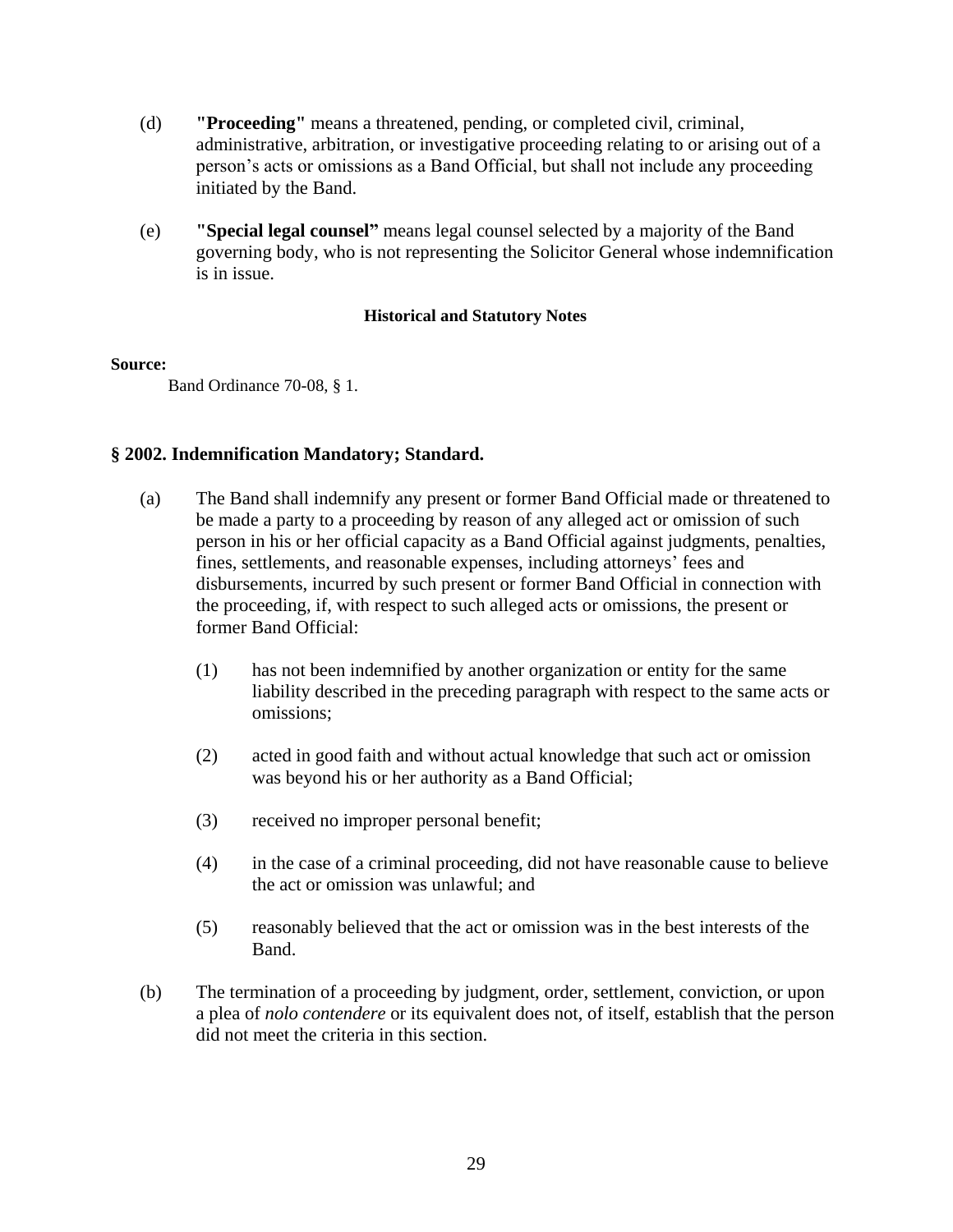- (d) **"Proceeding"** means a threatened, pending, or completed civil, criminal, administrative, arbitration, or investigative proceeding relating to or arising out of a person's acts or omissions as a Band Official, but shall not include any proceeding initiated by the Band.
- (e) **"Special legal counsel"** means legal counsel selected by a majority of the Band governing body, who is not representing the Solicitor General whose indemnification is in issue.

#### **Source:**

Band Ordinance 70-08, § 1.

# **§ 2002. Indemnification Mandatory; Standard.**

- (a) The Band shall indemnify any present or former Band Official made or threatened to be made a party to a proceeding by reason of any alleged act or omission of such person in his or her official capacity as a Band Official against judgments, penalties, fines, settlements, and reasonable expenses, including attorneys' fees and disbursements, incurred by such present or former Band Official in connection with the proceeding, if, with respect to such alleged acts or omissions, the present or former Band Official:
	- (1) has not been indemnified by another organization or entity for the same liability described in the preceding paragraph with respect to the same acts or omissions;
	- (2) acted in good faith and without actual knowledge that such act or omission was beyond his or her authority as a Band Official;
	- (3) received no improper personal benefit;
	- (4) in the case of a criminal proceeding, did not have reasonable cause to believe the act or omission was unlawful; and
	- (5) reasonably believed that the act or omission was in the best interests of the Band.
- (b) The termination of a proceeding by judgment, order, settlement, conviction, or upon a plea of *nolo contendere* or its equivalent does not, of itself, establish that the person did not meet the criteria in this section.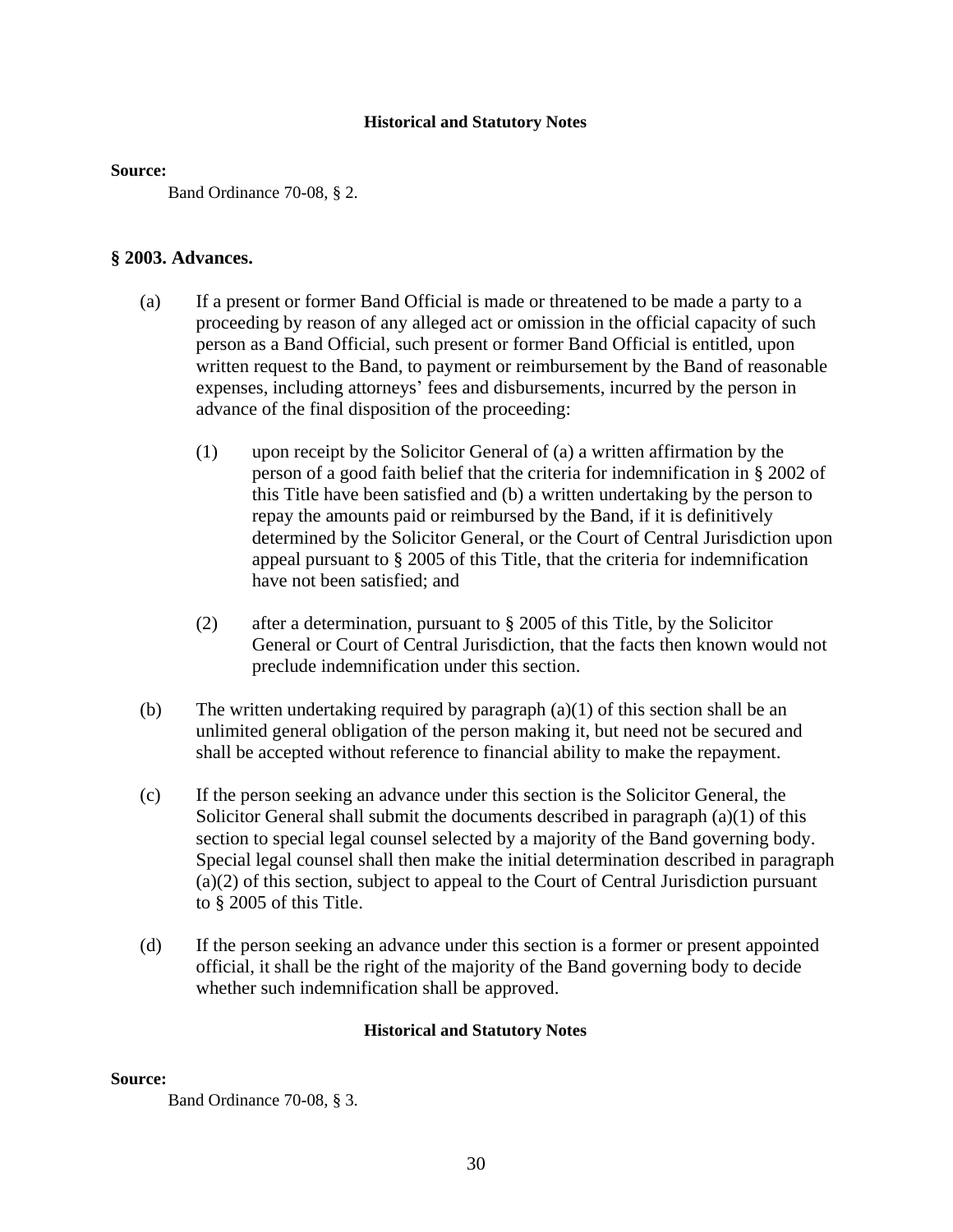#### **Source:**

Band Ordinance 70-08, § 2.

# **§ 2003. Advances.**

- (a) If a present or former Band Official is made or threatened to be made a party to a proceeding by reason of any alleged act or omission in the official capacity of such person as a Band Official, such present or former Band Official is entitled, upon written request to the Band, to payment or reimbursement by the Band of reasonable expenses, including attorneys' fees and disbursements, incurred by the person in advance of the final disposition of the proceeding:
	- (1) upon receipt by the Solicitor General of (a) a written affirmation by the person of a good faith belief that the criteria for indemnification in § 2002 of this Title have been satisfied and (b) a written undertaking by the person to repay the amounts paid or reimbursed by the Band, if it is definitively determined by the Solicitor General, or the Court of Central Jurisdiction upon appeal pursuant to § 2005 of this Title, that the criteria for indemnification have not been satisfied; and
	- (2) after a determination, pursuant to § 2005 of this Title, by the Solicitor General or Court of Central Jurisdiction, that the facts then known would not preclude indemnification under this section.
- (b) The written undertaking required by paragraph (a)(1) of this section shall be an unlimited general obligation of the person making it, but need not be secured and shall be accepted without reference to financial ability to make the repayment.
- (c) If the person seeking an advance under this section is the Solicitor General, the Solicitor General shall submit the documents described in paragraph  $(a)(1)$  of this section to special legal counsel selected by a majority of the Band governing body. Special legal counsel shall then make the initial determination described in paragraph (a)(2) of this section, subject to appeal to the Court of Central Jurisdiction pursuant to § 2005 of this Title.
- (d) If the person seeking an advance under this section is a former or present appointed official, it shall be the right of the majority of the Band governing body to decide whether such indemnification shall be approved.

#### **Historical and Statutory Notes**

# **Source:**

Band Ordinance 70-08, § 3.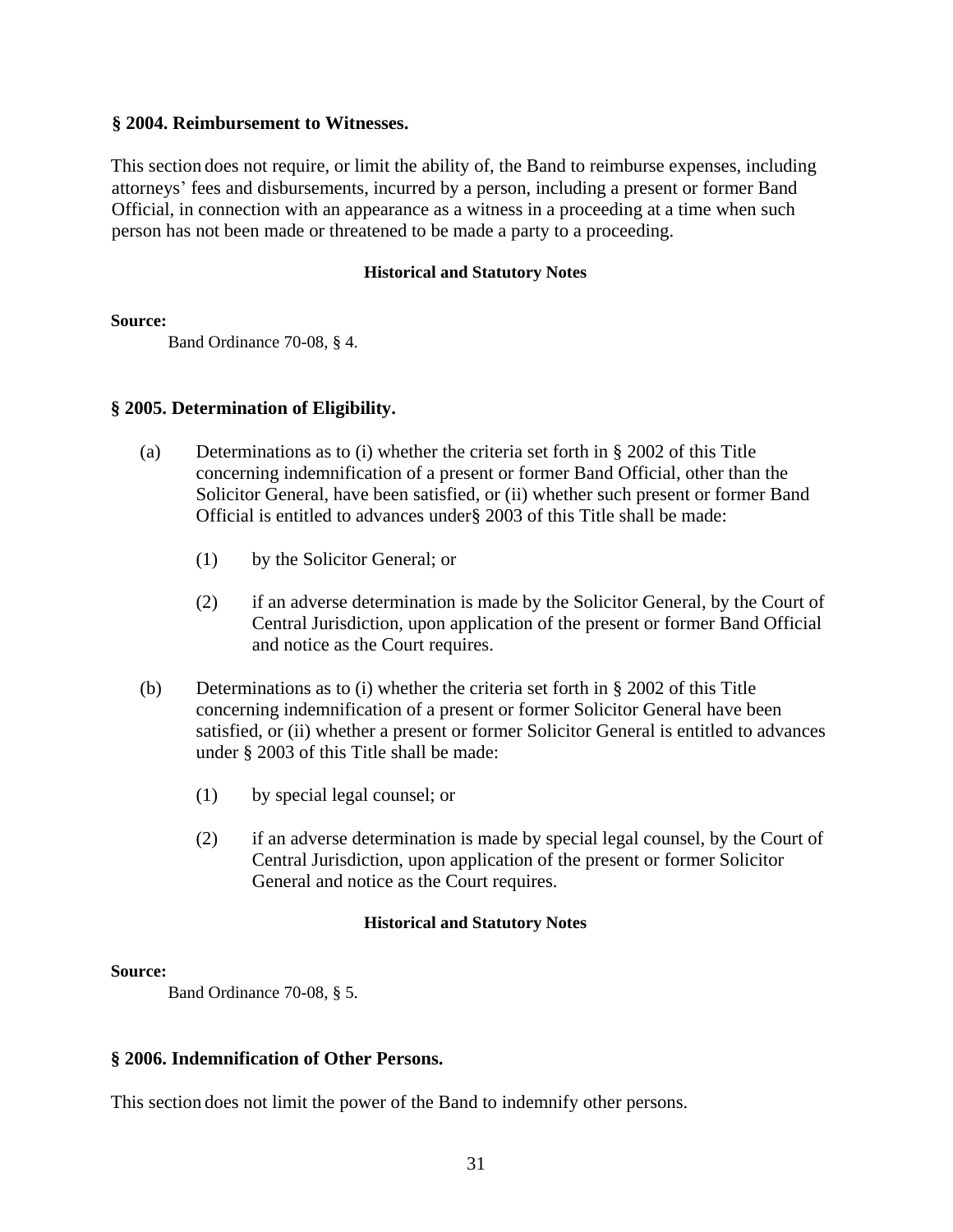## **§ 2004. Reimbursement to Witnesses.**

This section does not require, or limit the ability of, the Band to reimburse expenses, including attorneys' fees and disbursements, incurred by a person, including a present or former Band Official, in connection with an appearance as a witness in a proceeding at a time when such person has not been made or threatened to be made a party to a proceeding.

# **Historical and Statutory Notes**

#### **Source:**

Band Ordinance 70-08, § 4.

# **§ 2005. Determination of Eligibility.**

- (a) Determinations as to (i) whether the criteria set forth in § 2002 of this Title concerning indemnification of a present or former Band Official, other than the Solicitor General, have been satisfied, or (ii) whether such present or former Band Official is entitled to advances under§ 2003 of this Title shall be made:
	- (1) by the Solicitor General; or
	- (2) if an adverse determination is made by the Solicitor General, by the Court of Central Jurisdiction, upon application of the present or former Band Official and notice as the Court requires.
- (b) Determinations as to (i) whether the criteria set forth in § 2002 of this Title concerning indemnification of a present or former Solicitor General have been satisfied, or (ii) whether a present or former Solicitor General is entitled to advances under § 2003 of this Title shall be made:
	- (1) by special legal counsel; or
	- (2) if an adverse determination is made by special legal counsel, by the Court of Central Jurisdiction, upon application of the present or former Solicitor General and notice as the Court requires.

# **Historical and Statutory Notes**

# **Source:**

Band Ordinance 70-08, § 5.

# **§ 2006. Indemnification of Other Persons.**

This section does not limit the power of the Band to indemnify other persons.